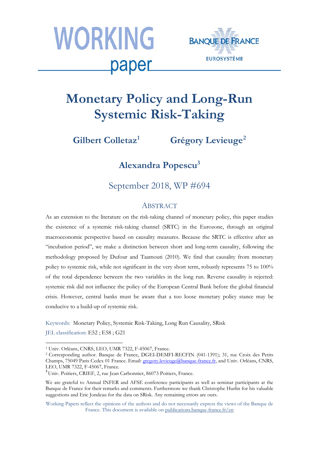



# **Monetary Policy and Long-Run Systemic Risk-Taking**

**Gilbert Colletaz[1](#page-0-0) Grégory Levieuge[2](#page-0-1)**

**Alexandra Popescu<sup>3</sup>**

September 2018, WP #694

#### **ABSTRACT**

As an extension to the literature on the risk-taking channel of monetary policy, this paper studies the existence of a systemic risk-taking channel (SRTC) in the Eurozone, through an original macroeconomic perspective based on causality measures. Because the SRTC is effective after an "incubation period", we make a distinction between short and long-term causality, following the methodology proposed by Dufour and Taamouti (2010). We find that causality from monetary policy to systemic risk, while not significant in the very short term, robustly represents 75 to 100% of the total dependence between the two variables in the long run. Reverse causality is rejected: systemic risk did not influence the policy of the European Central Bank before the global financial crisis. However, central banks must be aware that a too loose monetary policy stance may be conducive to a build-up of systemic risk.

Keywords: Monetary Policy, Systemic Risk-Taking, Long Run Causality, SRisk

JEL classification: E52 ; E58 ; G21

 $\overline{\phantom{a}}$ <sup>1</sup> Univ. Orléans, CNRS, LEO, UMR 7322, F-45067, France.

<span id="page-0-0"></span><sup>2</sup> Corresponding author. Banque de France, DGEI-DEMFI-RECFIN (041-1391); 31, rue Croix des Petits Champs, 75049 Paris Cedex 01 France. Email: [gregory.levieuge@banque-france.fr,](mailto:gregory.levieuge@banque-france.fr) and Univ. Orléans, CNRS, LEO, UMR 7322, F-45067, France.<br><sup>3</sup>Univ. Poitiers, CRIEF, 2, rue Jean Carbonnier, 86073 Poitiers, France.

<span id="page-0-1"></span>

We are grateful to Annual INFER and AFSE conference participants as well as seminar participants at the Banque de France for their remarks and comments. Furthermore we thank Christophe Hurlin for his valuable suggestions and Eric Jondeau for the data on SRisk. Any remaining errors are ours.

Working Papers reflect the opinions of the authors and do not necessarily express the views of the Banque de France. This document is available on [publications.banque-france.fr/en](https://publications.banque-france.fr/en)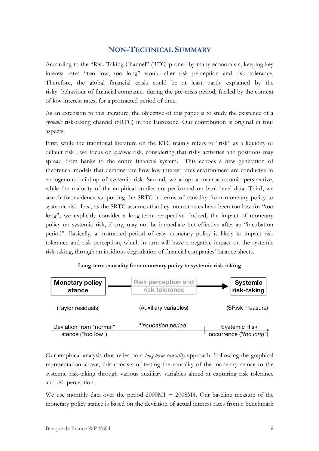### **NON-TECHNICAL SUMMARY**

According to the "Risk-Taking Channel" (RTC) proned by many economists, keeping key interest rates "too low, too long" would alter risk perception and risk tolerance. Therefore, the global financial crisis could be at least partly explained by the risky behaviour of financial companies during the pre-crisis period, fuelled by the context of low interest rates, for a protracted period of time.

As an extension to this literature, the objective of this paper is to study the existence of a *systemic* risk-taking channel (SRTC) in the Eurozone. Our contribution is original in four aspects.

First, while the traditional literature on the RTC mainly refers to "risk" as a liquidity or default risk , we focus on *systemic* risk, considering that risky activities and positions may spread from banks to the entire financial system. This echoes a new generation of theoretical models that demonstrate how low interest rates environment are conducive to endogenous build-up of systemic risk. Second, we adopt a macroeconomic perspective, while the majority of the empirical studies are performed on bank-level data. Third, we search for evidence supporting the SRTC in terms of causality from monetary policy to systemic risk. Last, as the SRTC assumes that key interest rates have been too low for "too long", we explicitly consider a long-term perspective. Indeed, the impact of monetary policy on systemic risk, if any, may not be immediate but effective after an "incubation period". Basically, a protracted period of easy monetary policy is likely to impact risk tolerance and risk perception, which in turn will have a negative impact on the systemic risk-taking, through an insidious degradation of financial companies' balance sheets.



**Long-term causality from monetary policy to systemic risk-taking**

Our empirical analysis thus relies on a *long-term causality* approach. Following the graphical representation above, this consists of testing the causality of the monetary stance to the systemic risk-taking through various auxiliary variables aimed at capturing risk tolerance and risk perception.

We use monthly data over the period  $2000M1 - 2008M4$ . Our baseline measure of the monetary policy stance is based on the deviation of actual interest rates from a benchmark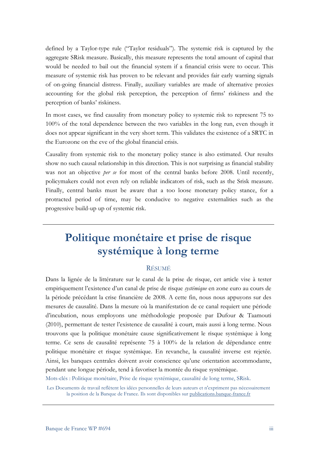defined by a Taylor-type rule ("Taylor residuals"). The systemic risk is captured by the aggregate SRisk measure. Basically, this measure represents the total amount of capital that would be needed to bail out the financial system if a financial crisis were to occur. This measure of systemic risk has proven to be relevant and provides fair early warning signals of on-going financial distress. Finally, auxiliary variables are made of alternative proxies accounting for the global risk perception, the perception of firms' riskiness and the perception of banks' riskiness.

In most cases, we find causality from monetary policy to systemic risk to represent 75 to 100% of the total dependence between the two variables in the long run, even though it does not appear significant in the very short term. This validates the existence of a SRTC in the Eurozone on the eve of the global financial crisis.

Causality from systemic risk to the monetary policy stance is also estimated. Our results show no such causal relationship in this direction. This is not surprising as financial stability was not an objective *per se* for most of the central banks before 2008. Until recently, policymakers could not even rely on reliable indicators of risk, such as the Srisk measure. Finally, central banks must be aware that a too loose monetary policy stance, for a protracted period of time, may be conducive to negative externalities such as the progressive build-up up of systemic risk.

## **Politique monétaire et prise de risque systémique à long terme**

#### RÉSUMÉ

Dans la lignée de la littérature sur le canal de la prise de risque, cet article vise à tester empiriquement l'existence d'un canal de prise de risque *systémique* en zone euro au cours de la période précédant la crise financière de 2008. A cette fin, nous nous appuyons sur des mesures de causalité. Dans la mesure où la manifestation de ce canal requiert une période d'incubation, nous employons une méthodologie proposée par Dufour & Taamouti (2010), permettant de tester l'existence de causalité à court, mais aussi à long terme. Nous trouvons que la politique monétaire cause significativement le risque systémique à long terme. Ce sens de causalité représente 75 à 100% de la relation de dépendance entre politique monétaire et risque systémique. En revanche, la causalité inverse est rejetée. Ainsi, les banques centrales doivent avoir conscience qu'une orientation accommodante, pendant une longue période, tend à favoriser la montée du risque systémique.

Mots-clés : Politique monétaire, Prise de risque systémique, causalité de long terme, SRisk.

Les Documents de travail reflètent les idées personnelles de leurs auteurs et n'expriment pas nécessairement la position de la Banque de France. Ils sont disponibles sur [publications.banque-france.fr](https://publications.banque-france.fr/)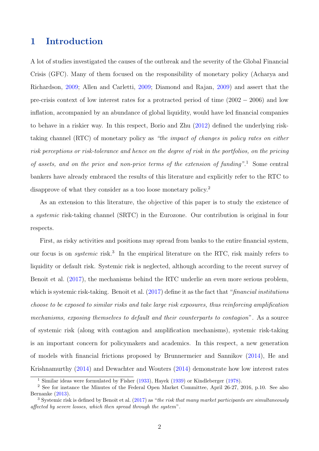### 1 Introduction

A lot of studies investigated the causes of the outbreak and the severity of the Global Financial Crisis (GFC). Many of them focused on the responsibility of monetary policy (Acharya and Richardson, [2009;](#page-26-0) Allen and Carletti, [2009;](#page-26-1) Diamond and Rajan, [2009\)](#page-29-0) and assert that the pre-crisis context of low interest rates for a protracted period of time (2002 − 2006) and low inflation, accompanied by an abundance of global liquidity, would have led financial companies to behave in a riskier way. In this respect, Borio and Zhu [\(2012\)](#page-27-0) defined the underlying risktaking channel (RTC) of monetary policy as "the impact of changes in policy rates on either risk perceptions or risk-tolerance and hence on the degree of risk in the portfolios, on the pricing of assets, and on the price and non-price terms of the extension of funding".<sup>[1](#page-3-0)</sup> Some central bankers have already embraced the results of this literature and explicitly refer to the RTC to disapprove of what they consider as a too loose monetary policy.<sup>[2](#page-3-1)</sup>

As an extension to this literature, the objective of this paper is to study the existence of a systemic risk-taking channel (SRTC) in the Eurozone. Our contribution is original in four respects.

First, as risky activities and positions may spread from banks to the entire financial system, our focus is on *systemic* risk.<sup>[3](#page-3-2)</sup> In the empirical literature on the RTC, risk mainly refers to liquidity or default risk. Systemic risk is neglected, although according to the recent survey of Benoit et al. [\(2017\)](#page-26-2), the mechanisms behind the RTC underlie an even more serious problem, which is systemic risk-taking. Benoit et al.  $(2017)$  define it as the fact that "*financial institutions* choose to be exposed to similar risks and take large risk exposures, thus reinforcing amplification mechanisms, exposing themselves to default and their counterparts to contagion". As a source of systemic risk (along with contagion and amplification mechanisms), systemic risk-taking is an important concern for policymakers and academics. In this respect, a new generation of models with financial frictions proposed by Brunnermeier and Sannikov [\(2014\)](#page-27-1), He and Krishnamurthy [\(2014\)](#page-30-0) and Dewachter and Wouters [\(2014\)](#page-28-0) demonstrate how low interest rates

<span id="page-3-1"></span><span id="page-3-0"></span><sup>1</sup> Similar ideas were formulated by Fisher [\(1933\)](#page-29-1), Hayek [\(1939\)](#page-30-1) or Kindleberger [\(1978\)](#page-31-0).

<sup>2</sup> See for instance the Minutes of the Federal Open Market Committee, April 26-27, 2016, p.10. See also Bernanke [\(2013\)](#page-27-2).

<span id="page-3-2"></span><sup>&</sup>lt;sup>3</sup> Systemic risk is defined by Benoit et al. [\(2017\)](#page-26-2) as "the risk that many market participants are simultaneously affected by severe losses, which then spread through the system".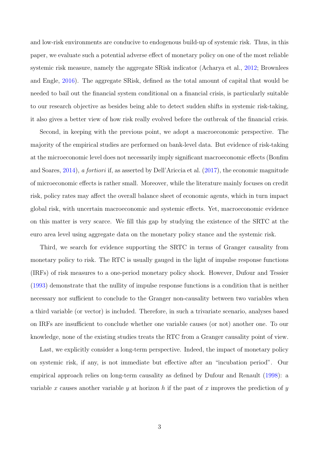and low-risk environments are conducive to endogenous build-up of systemic risk. Thus, in this paper, we evaluate such a potential adverse effect of monetary policy on one of the most reliable systemic risk measure, namely the aggregate SRisk indicator (Acharya et al., [2012;](#page-26-3) Brownlees and Engle, [2016\)](#page-27-3). The aggregate SRisk, defined as the total amount of capital that would be needed to bail out the financial system conditional on a financial crisis, is particularly suitable to our research objective as besides being able to detect sudden shifts in systemic risk-taking, it also gives a better view of how risk really evolved before the outbreak of the financial crisis.

Second, in keeping with the previous point, we adopt a macroeconomic perspective. The majority of the empirical studies are performed on bank-level data. But evidence of risk-taking at the microeconomic level does not necessarily imply significant macroeconomic effects (Bonfim and Soares, [2014\)](#page-27-4), a fortiori if, as asserted by Dell'Ariccia et al. [\(2017\)](#page-28-1), the economic magnitude of microeconomic effects is rather small. Moreover, while the literature mainly focuses on credit risk, policy rates may affect the overall balance sheet of economic agents, which in turn impact global risk, with uncertain macroeconomic and systemic effects. Yet, macroeconomic evidence on this matter is very scarce. We fill this gap by studying the existence of the SRTC at the euro area level using aggregate data on the monetary policy stance and the systemic risk.

Third, we search for evidence supporting the SRTC in terms of Granger causality from monetary policy to risk. The RTC is usually gauged in the light of impulse response functions (IRFs) of risk measures to a one-period monetary policy shock. However, Dufour and Tessier [\(1993\)](#page-29-2) demonstrate that the nullity of impulse response functions is a condition that is neither necessary nor sufficient to conclude to the Granger non-causality between two variables when a third variable (or vector) is included. Therefore, in such a trivariate scenario, analyses based on IRFs are insufficient to conclude whether one variable causes (or not) another one. To our knowledge, none of the existing studies treats the RTC from a Granger causality point of view.

Last, we explicitly consider a long-term perspective. Indeed, the impact of monetary policy on systemic risk, if any, is not immediate but effective after an "incubation period". Our empirical approach relies on long-term causality as defined by Dufour and Renault [\(1998\)](#page-29-3): a variable x causes another variable y at horizon h if the past of x improves the prediction of y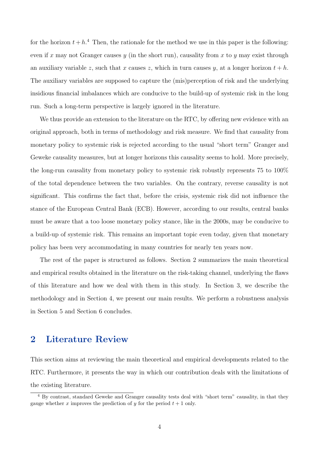for the horizon  $t + h$ <sup>[4](#page-5-0)</sup>. Then, the rationale for the method we use in this paper is the following: even if x may not Granger causes y (in the short run), causality from x to y may exist through an auxiliary variable z, such that x causes z, which in turn causes y, at a longer horizon  $t + h$ . The auxiliary variables are supposed to capture the (mis)perception of risk and the underlying insidious financial imbalances which are conducive to the build-up of systemic risk in the long run. Such a long-term perspective is largely ignored in the literature.

We thus provide an extension to the literature on the RTC, by offering new evidence with an original approach, both in terms of methodology and risk measure. We find that causality from monetary policy to systemic risk is rejected according to the usual "short term" Granger and Geweke causality measures, but at longer horizons this causality seems to hold. More precisely, the long-run causality from monetary policy to systemic risk robustly represents 75 to 100% of the total dependence between the two variables. On the contrary, reverse causality is not significant. This confirms the fact that, before the crisis, systemic risk did not influence the stance of the European Central Bank (ECB). However, according to our results, central banks must be aware that a too loose monetary policy stance, like in the 2000s, may be conducive to a build-up of systemic risk. This remains an important topic even today, given that monetary policy has been very accommodating in many countries for nearly ten years now.

The rest of the paper is structured as follows. Section 2 summarizes the main theoretical and empirical results obtained in the literature on the risk-taking channel, underlying the flaws of this literature and how we deal with them in this study. In Section 3, we describe the methodology and in Section 4, we present our main results. We perform a robustness analysis in Section 5 and Section 6 concludes.

### <span id="page-5-1"></span>2 Literature Review

This section aims at reviewing the main theoretical and empirical developments related to the RTC. Furthermore, it presents the way in which our contribution deals with the limitations of the existing literature.

<span id="page-5-0"></span><sup>4</sup> By contrast, standard Geweke and Granger causality tests deal with "short term" causality, in that they gauge whether x improves the prediction of y for the period  $t + 1$  only.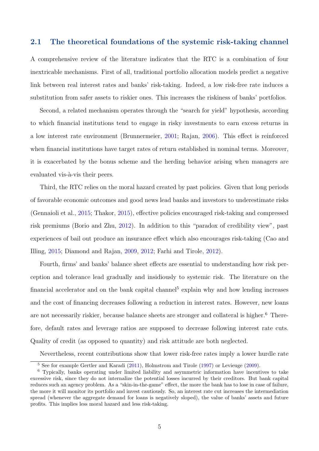#### 2.1 The theoretical foundations of the systemic risk-taking channel

A comprehensive review of the literature indicates that the RTC is a combination of four inextricable mechanisms. First of all, traditional portfolio allocation models predict a negative link between real interest rates and banks' risk-taking. Indeed, a low risk-free rate induces a substitution from safer assets to riskier ones. This increases the riskiness of banks' portfolios.

Second, a related mechanism operates through the "search for yield" hypothesis, according to which financial institutions tend to engage in risky investments to earn excess returns in a low interest rate environment (Brunnermeier, [2001;](#page-27-5) Rajan, [2006\)](#page-32-0). This effect is reinforced when financial institutions have target rates of return established in nominal terms. Moreover, it is exacerbated by the bonus scheme and the herding behavior arising when managers are evaluated vis-à-vis their peers.

Third, the RTC relies on the moral hazard created by past policies. Given that long periods of favorable economic outcomes and good news lead banks and investors to underestimate risks (Gennaioli et al., [2015;](#page-30-2) Thakor, [2015\)](#page-32-1), effective policies encouraged risk-taking and compressed risk premiums (Borio and Zhu, [2012\)](#page-27-0). In addition to this "paradox of credibility view", past experiences of bail out produce an insurance effect which also encourages risk-taking (Cao and Illing, [2015;](#page-27-6) Diamond and Rajan, [2009,](#page-29-0) [2012;](#page-29-4) Farhi and Tirole, [2012\)](#page-29-5).

Fourth, firms' and banks' balance sheet effects are essential to understanding how risk perception and tolerance lead gradually and insidiously to systemic risk. The literature on the financial accelerator and on the bank capital channel<sup>[5](#page-6-0)</sup> explain why and how lending increases and the cost of financing decreases following a reduction in interest rates. However, new loans are not necessarily riskier, because balance sheets are stronger and collateral is higher.<sup>[6](#page-6-1)</sup> Therefore, default rates and leverage ratios are supposed to decrease following interest rate cuts. Quality of credit (as opposed to quantity) and risk attitude are both neglected.

Nevertheless, recent contributions show that lower risk-free rates imply a lower hurdle rate

<span id="page-6-1"></span><span id="page-6-0"></span><sup>&</sup>lt;sup>5</sup> See for example Gertler and Karadi [\(2011\)](#page-30-3), Holmstrom and Tirole [\(1997\)](#page-30-4) or Levieuge [\(2009\)](#page-31-1).

<sup>6</sup> Typically, banks operating under limited liability and asymmetric information have incentives to take excessive risk, since they do not internalize the potential losses incurred by their creditors. But bank capital reduces such an agency problem. As a "skin-in-the-game" effect, the more the bank has to lose in case of failure, the more it will monitor its portfolio and invest cautiously. So, an interest rate cut increases the intermediation spread (whenever the aggregate demand for loans is negatively sloped), the value of banks' assets and future profits. This implies less moral hazard and less risk-taking.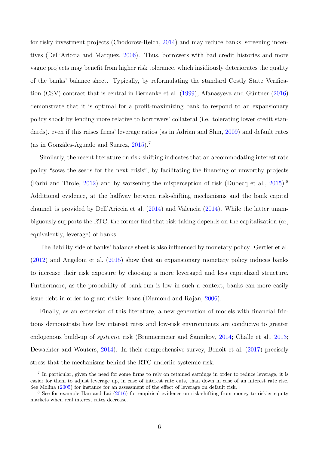for risky investment projects (Chodorow-Reich, [2014\)](#page-28-2) and may reduce banks' screening incentives (Dell'Ariccia and Marquez, [2006\)](#page-28-3). Thus, borrowers with bad credit histories and more vague projects may benefit from higher risk tolerance, which insidiously deteriorates the quality of the banks' balance sheet. Typically, by reformulating the standard Costly State Verification  $(CSV)$  contract that is central in Bernanke et al.  $(1999)$ , Afanasyeva and Güntner  $(2016)$ demonstrate that it is optimal for a profit-maximizing bank to respond to an expansionary policy shock by lending more relative to borrowers' collateral (i.e. tolerating lower credit standards), even if this raises firms' leverage ratios (as in Adrian and Shin, [2009\)](#page-26-5) and default rates (as in Gonzàles-Aguado and Suarez,  $2015$ ).<sup>[7](#page-7-0)</sup>

Similarly, the recent literature on risk-shifting indicates that an accommodating interest rate policy "sows the seeds for the next crisis", by facilitating the financing of unworthy projects (Farhi and Tirole, [2012\)](#page-29-5) and by worsening the misperception of risk (Dubecq et al.,  $2015$ ).<sup>[8](#page-7-1)</sup> Additional evidence, at the halfway between risk-shifting mechanisms and the bank capital channel, is provided by Dell'Ariccia et al. [\(2014\)](#page-28-4) and Valencia [\(2014\)](#page-32-2). While the latter unambiguously supports the RTC, the former find that risk-taking depends on the capitalization (or, equivalently, leverage) of banks.

The liability side of banks' balance sheet is also influenced by monetary policy. Gertler et al. [\(2012\)](#page-30-6) and Angeloni et al. [\(2015\)](#page-26-6) show that an expansionary monetary policy induces banks to increase their risk exposure by choosing a more leveraged and less capitalized structure. Furthermore, as the probability of bank run is low in such a context, banks can more easily issue debt in order to grant riskier loans (Diamond and Rajan, [2006\)](#page-29-7).

Finally, as an extension of this literature, a new generation of models with financial frictions demonstrate how low interest rates and low-risk environments are conducive to greater endogenous build-up of *systemic* risk (Brunnermeier and Sannikov, [2014;](#page-27-1) Challe et al., [2013;](#page-28-5) Dewachter and Wouters, [2014\)](#page-28-0). In their comprehensive survey, Benoit et al. [\(2017\)](#page-26-2) precisely stress that the mechanisms behind the RTC underlie systemic risk.

<span id="page-7-0"></span><sup>&</sup>lt;sup>7</sup> In particular, given the need for some firms to rely on retained earnings in order to reduce leverage, it is easier for them to adjust leverage up, in case of interest rate cuts, than down in case of an interest rate rise. See Molina [\(2005\)](#page-31-2) for instance for an assessment of the effect of leverage on default risk.

<span id="page-7-1"></span><sup>&</sup>lt;sup>8</sup> See for example Hau and Lai [\(2016\)](#page-30-7) for empirical evidence on risk-shifting from money to riskier equity markets when real interest rates decrease.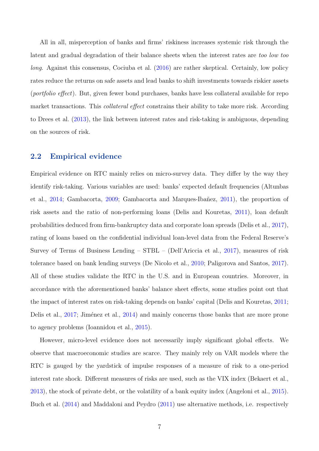All in all, misperception of banks and firms' riskiness increases systemic risk through the latent and gradual degradation of their balance sheets when the interest rates are too low too long. Against this consensus, Cociuba et al. [\(2016\)](#page-28-6) are rather skeptical. Certainly, low policy rates reduce the returns on safe assets and lead banks to shift investments towards riskier assets (portfolio effect). But, given fewer bond purchases, banks have less collateral available for repo market transactions. This *collateral effect* constrains their ability to take more risk. According to Drees et al. [\(2013\)](#page-29-8), the link between interest rates and risk-taking is ambiguous, depending on the sources of risk.

#### 2.2 Empirical evidence

Empirical evidence on RTC mainly relies on micro-survey data. They differ by the way they identify risk-taking. Various variables are used: banks' expected default frequencies (Altunbas et al., [2014;](#page-26-7) Gambacorta, [2009;](#page-30-8) Gambacorta and Marques-Ibañez, [2011\)](#page-30-9), the proportion of risk assets and the ratio of non-performing loans (Delis and Kouretas, [2011\)](#page-28-7), loan default probabilities deduced from firm-bankruptcy data and corporate loan spreads (Delis et al., [2017\)](#page-28-8), rating of loans based on the confidential individual loan-level data from the Federal Reserve's Survey of Terms of Business Lending – STBL – (Dell'Ariccia et al., [2017\)](#page-28-1), measures of risk tolerance based on bank lending surveys (De Nicolo et al., [2010;](#page-28-9) Paligorova and Santos, [2017\)](#page-32-3). All of these studies validate the RTC in the U.S. and in European countries. Moreover, in accordance with the aforementioned banks' balance sheet effects, some studies point out that the impact of interest rates on risk-taking depends on banks' capital (Delis and Kouretas, [2011;](#page-28-7) Delis et al., [2017;](#page-28-8) Jiménez et al., [2014\)](#page-31-3) and mainly concerns those banks that are more prone to agency problems (Ioannidou et al., [2015\)](#page-31-4).

However, micro-level evidence does not necessarily imply significant global effects. We observe that macroeconomic studies are scarce. They mainly rely on VAR models where the RTC is gauged by the yardstick of impulse responses of a measure of risk to a one-period interest rate shock. Different measures of risks are used, such as the VIX index (Bekaert et al., [2013\)](#page-26-8), the stock of private debt, or the volatility of a bank equity index (Angeloni et al., [2015\)](#page-26-6). Buch et al. [\(2014\)](#page-27-8) and Maddaloni and Peydro [\(2011\)](#page-31-5) use alternative methods, i.e. respectively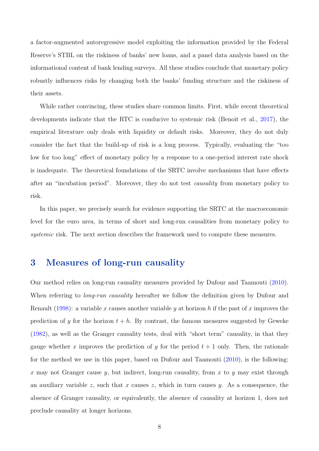a factor-augmented autoregressive model exploiting the information provided by the Federal Reserve's STBL on the riskiness of banks' new loans, and a panel data analysis based on the informational content of bank lending surveys. All these studies conclude that monetary policy robustly influences risks by changing both the banks' funding structure and the riskiness of their assets.

While rather convincing, these studies share common limits. First, while recent theoretical developments indicate that the RTC is conducive to systemic risk (Benoit et al., [2017\)](#page-26-2), the empirical literature only deals with liquidity or default risks. Moreover, they do not duly consider the fact that the build-up of risk is a long process. Typically, evaluating the "too low for too long" effect of monetary policy by a response to a one-period interest rate shock is inadequate. The theoretical foundations of the SRTC involve mechanisms that have effects after an "incubation period". Moreover, they do not test causality from monetary policy to risk.

In this paper, we precisely search for evidence supporting the SRTC at the macroeconomic level for the euro area, in terms of short and long-run causalities from monetary policy to systemic risk. The next section describes the framework used to compute these measures.

### 3 Measures of long-run causality

Our method relies on long-run causality measures provided by Dufour and Taamouti [\(2010\)](#page-29-9). When referring to *long-run causality* hereafter we follow the definition given by Dufour and Renault [\(1998\)](#page-29-3): a variable x causes another variable y at horizon h if the past of x improves the prediction of y for the horizon  $t + h$ . By contrast, the famous measures suggested by Geweke [\(1982\)](#page-30-10), as well as the Granger causality tests, deal with "short term" causality, in that they gauge whether x improves the prediction of y for the period  $t + 1$  only. Then, the rationale for the method we use in this paper, based on Dufour and Taamouti [\(2010\)](#page-29-9), is the following: x may not Granger cause y, but indirect, long-run causality, from x to y may exist through an auxiliary variable z, such that x causes z, which in turn causes y. As a consequence, the absence of Granger causality, or equivalently, the absence of causality at horizon 1, does not preclude causality at longer horizons.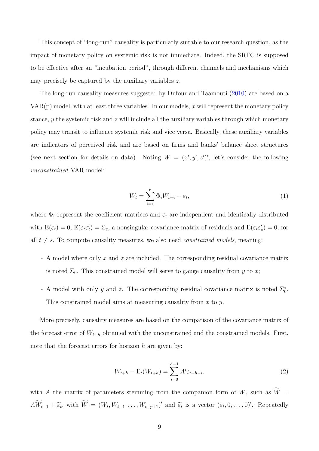This concept of "long-run" causality is particularly suitable to our research question, as the impact of monetary policy on systemic risk is not immediate. Indeed, the SRTC is supposed to be effective after an "incubation period", through different channels and mechanisms which may precisely be captured by the auxiliary variables z.

The long-run causality measures suggested by Dufour and Taamouti [\(2010\)](#page-29-9) are based on a  $VAR(p)$  model, with at least three variables. In our models, x will represent the monetary policy stance, y the systemic risk and  $z$  will include all the auxiliary variables through which monetary policy may transit to influence systemic risk and vice versa. Basically, these auxiliary variables are indicators of perceived risk and are based on firms and banks' balance sheet structures (see next section for details on data). Noting  $W = (x', y', z')'$ , let's consider the following unconstrained VAR model:

<span id="page-10-0"></span>
$$
W_t = \sum_{i=1}^p \Phi_i W_{t-i} + \varepsilon_t,\tag{1}
$$

where  $\Phi_i$  represent the coefficient matrices and  $\varepsilon_t$  are independent and identically distributed with  $E(\varepsilon_t) = 0$ ,  $E(\varepsilon_t \varepsilon_t') = \Sigma_{\varepsilon}$ , a nonsingular covariance matrix of residuals and  $E(\varepsilon_t \varepsilon_s') = 0$ , for all  $t \neq s$ . To compute causality measures, we also need *constrained models*, meaning:

- A model where only x and z are included. The corresponding residual covariance matrix is noted  $\Sigma_0$ . This constrained model will serve to gauge causality from y to x;
- A model with only y and z. The corresponding residual covariance matrix is noted  $\Sigma_0^*$ . This constrained model aims at measuring causality from  $x$  to  $y$ .

More precisely, causality measures are based on the comparison of the covariance matrix of the forecast error of  $W_{t+h}$  obtained with the unconstrained and the constrained models. First, note that the forecast errors for horizon  $h$  are given by:

$$
W_{t+h} - \mathcal{E}_t(W_{t+h}) = \sum_{i=0}^{h-1} A^i \varepsilon_{t+h-i}.
$$
 (2)

with A the matrix of parameters stemming from the companion form of  $W$ , such as  $\widetilde{W}$  =  $A\widetilde{W}_{t-1} + \widetilde{\varepsilon}_t$ , with  $\widetilde{W} = (W_t, W_{t-1}, \ldots, W_{t-p+1})'$  and  $\widetilde{\varepsilon}_t$  is a vector  $(\varepsilon_t, 0, \ldots, 0)'$ . Repeatedly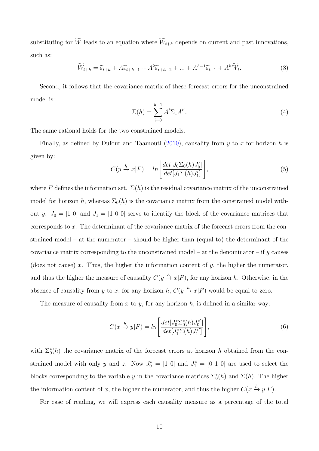substituting for  $\widetilde{W}$  leads to an equation where  $\widetilde{W}_{t+h}$  depends on current and past innovations, such as:

$$
\widetilde{W}_{t+h} = \widetilde{\varepsilon}_{t+h} + A\widetilde{\varepsilon}_{t+h-1} + A^2 \widetilde{\varepsilon}_{t+h-2} + \dots + A^{h-1} \widetilde{\varepsilon}_{t+1} + A^h \widetilde{W}_t.
$$
\n(3)

Second, it follows that the covariance matrix of these forecast errors for the unconstrained model is:

<span id="page-11-0"></span>
$$
\Sigma(h) = \sum_{i=0}^{h-1} A^i \Sigma_{\varepsilon} A^{i'}.
$$
\n(4)

The same rational holds for the two constrained models.

Finally, as defined by Dufour and Taamouti [\(2010\)](#page-29-9), causality from  $y$  to  $x$  for horizon  $h$  is given by:

<span id="page-11-1"></span>
$$
C(y \xrightarrow{h} x|F) = \ln\left[\frac{\det[J_0\Sigma_0(h)J_0']}{\det[J_1\Sigma(h)J_1']}\right],\tag{5}
$$

where F defines the information set.  $\Sigma(h)$  is the residual covariance matrix of the unconstrained model for horizon h, whereas  $\Sigma_0(h)$  is the covariance matrix from the constrained model without y.  $J_0 = [1\ 0]$  and  $J_1 = [1\ 0\ 0]$  serve to identify the block of the covariance matrices that corresponds to x. The determinant of the covariance matrix of the forecast errors from the constrained model – at the numerator – should be higher than (equal to) the determinant of the covariance matrix corresponding to the unconstrained model – at the denominator – if  $y$  causes (does not cause) x. Thus, the higher the information content of  $y$ , the higher the numerator, and thus the higher the measure of causality  $C(y \stackrel{h}{\to} x|F)$ , for any horizon h. Otherwise, in the absence of causality from y to x, for any horizon h,  $C(y \xrightarrow{h} x|F)$  would be equal to zero.

The measure of causality from x to y, for any horizon  $h$ , is defined in a similar way:

<span id="page-11-2"></span>
$$
C(x \xrightarrow{h} y|F) = \ln \left[ \frac{\det[J_0^* \Sigma_0^*(h) J_0^{*'}]}{\det[J_1^* \Sigma(h) J_1^{*'}]} \right],\tag{6}
$$

with  $\Sigma_0^*(h)$  the covariance matrix of the forecast errors at horizon h obtained from the constrained model with only y and z. Now  $J_0^* = [1\ 0]$  and  $J_1^* = [0\ 1\ 0]$  are used to select the blocks corresponding to the variable y in the covariance matrices  $\Sigma_0^*(h)$  and  $\Sigma(h)$ . The higher the information content of x, the higher the numerator, and thus the higher  $C(x \stackrel{h}{\rightarrow} y|F)$ .

For ease of reading, we will express each causality measure as a percentage of the total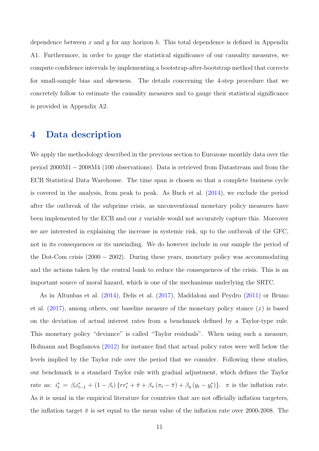dependence between x and y for any horizon  $h$ . This total dependence is defined in Appendix A1. Furthermore, in order to gauge the statistical significance of our causality measures, we compute confidence intervals by implementing a bootstrap-after-bootstrap method that corrects for small-sample bias and skewness. The details concerning the 4-step procedure that we concretely follow to estimate the causality measures and to gauge their statistical significance is provided in Appendix A2.

### 4 Data description

We apply the methodology described in the previous section to Eurozone monthly data over the period 2000M1 − 2008M4 (100 observations). Data is retrieved from Datastream and from the ECB Statistical Data Warehouse. The time span is chosen so that a complete business cycle is covered in the analysis, from peak to peak. As Buch et al. [\(2014\)](#page-27-8), we exclude the period after the outbreak of the subprime crisis, as unconventional monetary policy measures have been implemented by the ECB and our x variable would not accurately capture this. Moreover we are interested in explaining the increase in systemic risk, up to the outbreak of the GFC, not in its consequences or its unwinding. We do however include in our sample the period of the Dot-Com crisis  $(2000 - 2002)$ . During these years, monetary policy was accommodating and the actions taken by the central bank to reduce the consequences of the crisis. This is an important source of moral hazard, which is one of the mechanisms underlying the SRTC.

As in Altunbas et al. [\(2014\)](#page-26-7), Delis et al. [\(2017\)](#page-28-8), Maddaloni and Peydro [\(2011\)](#page-31-5) or Bruno et al.  $(2017)$ , among others, our baseline measure of the monetary policy stance  $(x)$  is based on the deviation of actual interest rates from a benchmark defined by a Taylor-type rule. This monetary policy "deviance" is called "Taylor residuals". When using such a measure, Hofmann and Bogdanova [\(2012\)](#page-30-11) for instance find that actual policy rates were well below the levels implied by the Taylor rule over the period that we consider. Following these studies, our benchmark is a standard Taylor rule with gradual adjustment, which defines the Taylor rate as:  $i_t^* = \beta_i i_{t-1}^* + (1 - \beta_i) \{rr_t^* + \bar{\pi} + \beta_\pi (\pi_t - \bar{\pi}) + \beta_y (y_t - y_t^*)\}$ .  $\pi$  is the inflation rate. As it is usual in the empirical literature for countries that are not officially inflation targeters, the inflation target  $\bar{\pi}$  is set equal to the mean value of the inflation rate over 2000-2008. The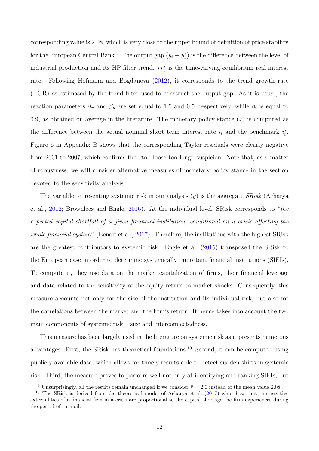corresponding value is 2.08, which is very close to the upper bound of definition of price stability for the European Central Bank.<sup>[9](#page-13-0)</sup> The output gap  $(y_t - y_t^*)$  is the difference between the level of industrial production and its HP filter trend.  $rr_t^*$  is the time-varying equilibrium real interest rate. Following Hofmann and Bogdanova [\(2012\)](#page-30-11), it corresponds to the trend growth rate (TGR) as estimated by the trend filter used to construct the output gap. As it is usual, the reaction parameters  $\beta_{\pi}$  and  $\beta_{y}$  are set equal to 1.5 and 0.5, respectively, while  $\beta_{i}$  is equal to 0.9, as obtained on average in the literature. The monetary policy stance  $(x)$  is computed as the difference between the actual nominal short term interest rate  $i_t$  and the benchmark  $i_t^*$ . Figure [6](#page-36-0) in Appendix B shows that the corresponding Taylor residuals were clearly negative from 2001 to 2007, which confirms the "too loose too long" suspicion. Note that, as a matter of robustness, we will consider alternative measures of monetary policy stance in the section devoted to the sensitivity analysis.

The variable representing systemic risk in our analysis  $(y)$  is the aggregate *SRisk* (Acharya et al., [2012;](#page-26-3) Brownlees and Engle, [2016\)](#page-27-3). At the individual level, SRisk corresponds to "the expected capital shortfall of a given financial institution, conditional on a crisis affecting the whole financial system" (Benoit et al., [2017\)](#page-26-2). Therefore, the institutions with the highest SRisk are the greatest contributors to systemic risk. Engle et al. [\(2015\)](#page-29-10) transposed the SRisk to the European case in order to determine systemically important financial institutions (SIFIs). To compute it, they use data on the market capitalization of firms, their financial leverage and data related to the sensitivity of the equity return to market shocks. Consequently, this measure accounts not only for the size of the institution and its individual risk, but also for the correlations between the market and the firm's return. It hence takes into account the two main components of systemic risk – size and interconnectedness.

This measure has been largely used in the literature on systemic risk as it presents numerous advantages. First, the SRisk has theoretical foundations.[10](#page-13-1) Second, it can be computed using publicly available data, which allows for timely results able to detect sudden shifts in systemic risk. Third, the measure proves to perform well not only at identifying and ranking SIFIs, but

<span id="page-13-1"></span><span id="page-13-0"></span><sup>&</sup>lt;sup>9</sup> Unsurprisingly, all the results remain unchanged if we consider  $\bar{\pi} = 2.0$  instead of the mean value 2.08.

<sup>&</sup>lt;sup>10</sup> The SRisk is derived from the theoretical model of Acharya et al.  $(2017)$  who show that the negative externalities of a financial firm in a crisis are proportional to the capital shortage the firm experiences during the period of turmoil.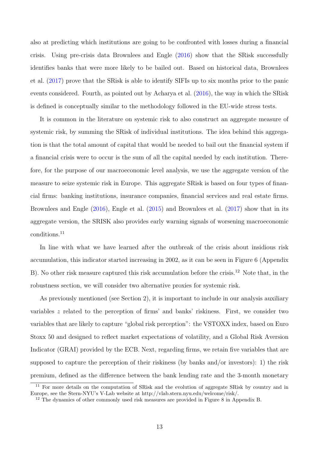also at predicting which institutions are going to be confronted with losses during a financial crisis. Using pre-crisis data Brownlees and Engle [\(2016\)](#page-27-3) show that the SRisk successfully identifies banks that were more likely to be bailed out. Based on historical data, Brownlees et al. [\(2017\)](#page-27-10) prove that the SRisk is able to identify SIFIs up to six months prior to the panic events considered. Fourth, as pointed out by Acharya et al. [\(2016\)](#page-26-10), the way in which the SRisk is defined is conceptually similar to the methodology followed in the EU-wide stress tests.

It is common in the literature on systemic risk to also construct an aggregate measure of systemic risk, by summing the SRisk of individual institutions. The idea behind this aggregation is that the total amount of capital that would be needed to bail out the financial system if a financial crisis were to occur is the sum of all the capital needed by each institution. Therefore, for the purpose of our macroeconomic level analysis, we use the aggregate version of the measure to seize systemic risk in Europe. This aggregate SRisk is based on four types of financial firms: banking institutions, insurance companies, financial services and real estate firms. Brownlees and Engle [\(2016\)](#page-27-3), Engle et al. [\(2015\)](#page-29-10) and Brownlees et al. [\(2017\)](#page-27-10) show that in its aggregate version, the SRISK also provides early warning signals of worsening macroeconomic conditions.[11](#page-14-0)

In line with what we have learned after the outbreak of the crisis about insidious risk accumulation, this indicator started increasing in 2002, as it can be seen in Figure [6](#page-36-0) (Appendix B). No other risk measure captured this risk accumulation before the crisis.<sup>[12](#page-14-1)</sup> Note that, in the robustness section, we will consider two alternative proxies for systemic risk.

As previously mentioned (see Section [2\)](#page-5-1), it is important to include in our analysis auxiliary variables z related to the perception of firms' and banks' riskiness. First, we consider two variables that are likely to capture "global risk perception": the VSTOXX index, based on Euro Stoxx 50 and designed to reflect market expectations of volatility, and a Global Risk Aversion Indicator (GRAI) provided by the ECB. Next, regarding firms, we retain five variables that are supposed to capture the perception of their riskiness (by banks and/or investors): 1) the risk premium, defined as the difference between the bank lending rate and the 3-month monetary

<span id="page-14-0"></span><sup>&</sup>lt;sup>11</sup> For more details on the computation of SRisk and the evolution of aggregate SRisk by country and in Europe, see the Stern-NYU's V-Lab website at http://vlab.stern.nyu.edu/welcome/risk/.

<span id="page-14-1"></span><sup>&</sup>lt;sup>12</sup> The dynamics of other commonly used risk measures are provided in Figure [8](#page-38-0) in Appendix B.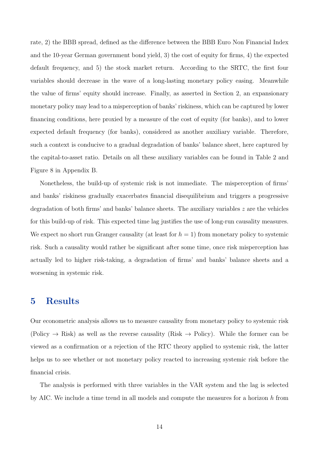rate, 2) the BBB spread, defined as the difference between the BBB Euro Non Financial Index and the 10-year German government bond yield, 3) the cost of equity for firms, 4) the expected default frequency, and 5) the stock market return. According to the SRTC, the first four variables should decrease in the wave of a long-lasting monetary policy easing. Meanwhile the value of firms' equity should increase. Finally, as asserted in Section [2,](#page-5-1) an expansionary monetary policy may lead to a misperception of banks' riskiness, which can be captured by lower financing conditions, here proxied by a measure of the cost of equity (for banks), and to lower expected default frequency (for banks), considered as another auxiliary variable. Therefore, such a context is conducive to a gradual degradation of banks' balance sheet, here captured by the capital-to-asset ratio. Details on all these auxiliary variables can be found in Table [2](#page-37-0) and Figure [8](#page-38-0) in Appendix B.

Nonetheless, the build-up of systemic risk is not immediate. The misperception of firms' and banks' riskiness gradually exacerbates financial disequilibrium and triggers a progressive degradation of both firms' and banks' balance sheets. The auxiliary variables  $z$  are the vehicles for this build-up of risk. This expected time lag justifies the use of long-run causality measures. We expect no short run Granger causality (at least for  $h = 1$ ) from monetary policy to systemic risk. Such a causality would rather be significant after some time, once risk misperception has actually led to higher risk-taking, a degradation of firms' and banks' balance sheets and a worsening in systemic risk.

### 5 Results

Our econometric analysis allows us to measure causality from monetary policy to systemic risk (Policy  $\rightarrow$  Risk) as well as the reverse causality (Risk  $\rightarrow$  Policy). While the former can be viewed as a confirmation or a rejection of the RTC theory applied to systemic risk, the latter helps us to see whether or not monetary policy reacted to increasing systemic risk before the financial crisis.

The analysis is performed with three variables in the VAR system and the lag is selected by AIC. We include a time trend in all models and compute the measures for a horizon  $h$  from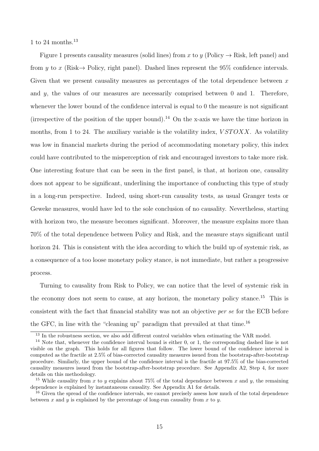1 to 24 months.<sup>[13](#page-16-0)</sup>

Figure [1](#page-17-0) presents causality measures (solid lines) from x to y (Policy  $\rightarrow$  Risk, left panel) and from y to x (Risk $\rightarrow$  Policy, right panel). Dashed lines represent the 95% confidence intervals. Given that we present causality measures as percentages of the total dependence between  $x$ and  $y$ , the values of our measures are necessarily comprised between 0 and 1. Therefore, whenever the lower bound of the confidence interval is equal to 0 the measure is not significant (irrespective of the position of the upper bound).<sup>[14](#page-16-1)</sup> On the x-axis we have the time horizon in months, from 1 to 24. The auxiliary variable is the volatility index,  $VSTOXX$ . As volatility was low in financial markets during the period of accommodating monetary policy, this index could have contributed to the misperception of risk and encouraged investors to take more risk. One interesting feature that can be seen in the first panel, is that, at horizon one, causality does not appear to be significant, underlining the importance of conducting this type of study in a long-run perspective. Indeed, using short-run causality tests, as usual Granger tests or Geweke measures, would have led to the sole conclusion of no causality. Nevertheless, starting with horizon two, the measure becomes significant. Moreover, the measure explains more than 70% of the total dependence between Policy and Risk, and the measure stays significant until horizon 24. This is consistent with the idea according to which the build up of systemic risk, as a consequence of a too loose monetary policy stance, is not immediate, but rather a progressive process.

Turning to causality from Risk to Policy, we can notice that the level of systemic risk in the economy does not seem to cause, at any horizon, the monetary policy stance.<sup>[15](#page-16-2)</sup> This is consistent with the fact that financial stability was not an objective per se for the ECB before the GFC, in line with the "cleaning up" paradigm that prevailed at that time.<sup>[16](#page-16-3)</sup>

<span id="page-16-1"></span><span id="page-16-0"></span><sup>&</sup>lt;sup>13</sup> In the robustness section, we also add different control variables when estimating the VAR model.

<sup>&</sup>lt;sup>14</sup> Note that, whenever the confidence interval bound is either 0, or 1, the corresponding dashed line is not visible on the graph. This holds for all figures that follow. The lower bound of the confidence interval is computed as the fractile at 2.5% of bias-corrected causality measures issued from the bootstrap-after-bootstrap procedure. Similarly, the upper bound of the confidence interval is the fractile at 97.5% of the bias-corrected causality measures issued from the bootstrap-after-bootstrap procedure. See Appendix A2, Step 4, for more details on this methodology.

<span id="page-16-2"></span><sup>&</sup>lt;sup>15</sup> While causality from x to y explains about 75% of the total dependence between x and y, the remaining dependence is explained by instantaneous causality. See Appendix A1 for details.

<span id="page-16-3"></span><sup>&</sup>lt;sup>16</sup> Given the spread of the confidence intervals, we cannot precisely assess how much of the total dependence between x and y is explained by the percentage of long-run causality from x to y.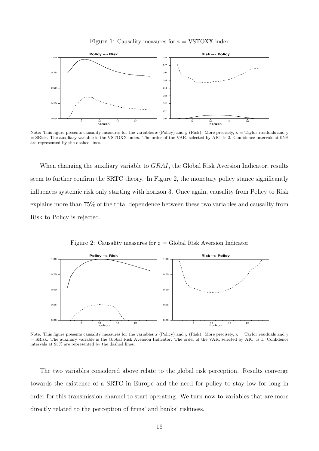Figure 1: Causality measures for  $z = VSTOXX$  index

<span id="page-17-0"></span>

Note: This figure presents causality measures for the variables x (Policy) and y (Risk). More precisely,  $x = Taylor$  residuals and y = SRisk. The auxiliary variable is the VSTOXX index. The order of the VAR, selected by AIC, is 2. Confidence intervals at 95% are represented by the dashed lines.

When changing the auxiliary variable to *GRAI*, the Global Risk Aversion Indicator, results seem to further confirm the SRTC theory. In Figure [2,](#page-17-1) the monetary policy stance significantly influences systemic risk only starting with horizon 3. Once again, causality from Policy to Risk explains more than 75% of the total dependence between these two variables and causality from Risk to Policy is rejected.

Figure 2: Causality measures for  $z =$  Global Risk Aversion Indicator

<span id="page-17-1"></span>

Note: This figure presents causality measures for the variables  $x$  (Policy) and  $y$  (Risk). More precisely,  $x =$  Taylor residuals and y = SRisk. The auxiliary variable is the Global Risk Aversion Indicator. The order of the VAR, selected by AIC, is 1. Confidence intervals at 95% are represented by the dashed lines.

The two variables considered above relate to the global risk perception. Results converge towards the existence of a SRTC in Europe and the need for policy to stay low for long in order for this transmission channel to start operating. We turn now to variables that are more directly related to the perception of firms' and banks' riskiness.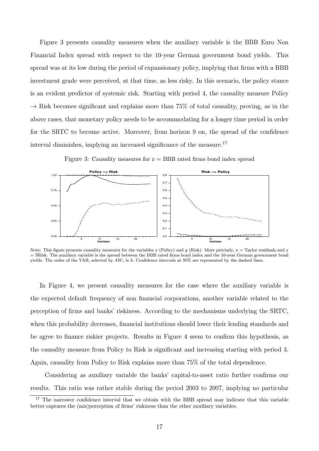Figure [3](#page-18-0) presents causality measures when the auxiliary variable is the BBB Euro Non Financial Index spread with respect to the 10-year German government bond yields. This spread was at its low during the period of expansionary policy, implying that firms with a BBB investment grade were perceived, at that time, as less risky. In this scenario, the policy stance is an evident predictor of systemic risk. Starting with period 4, the causality measure Policy  $\rightarrow$  Risk becomes significant and explains more than 75% of total causality, proving, as in the above cases, that monetary policy needs to be accommodating for a longer time period in order for the SRTC to become active. Moreover, from horizon 9 on, the spread of the confidence interval diminishes, implying an increased significance of the measure.[17](#page-18-1)

Figure 3: Causality measures for  $z = BBB$  rated firms bond index spread

<span id="page-18-0"></span>

Note: This figure presents causality measures for the variables x (Policy) and y (Risk). More precisely,  $x =$  Taylor residuals and y = SRisk. The auxiliary variable is the spread between the BBB rated firms bond index and the 10-year German government bond yields. The order of the VAR, selected by AIC, is 3. Confidence intervals at 95% are represented by the dashed lines.

In Figure [4,](#page-19-0) we present causality measures for the case where the auxiliary variable is the expected default frequency of non financial corporations, another variable related to the perception of firms and banks' riskiness. According to the mechanisms underlying the SRTC, when this probability decreases, financial institutions should lower their lending standards and be agree to finance riskier projects. Results in Figure [4](#page-19-0) seem to confirm this hypothesis, as the causality measure from Policy to Risk is significant and increasing starting with period 3. Again, causality from Policy to Risk explains more than 75% of the total dependence.

Considering as auxiliary variable the banks' capital-to-asset ratio further confirms our results. This ratio was rather stable during the period 2003 to 2007, implying no particular

<span id="page-18-1"></span><sup>&</sup>lt;sup>17</sup> The narrower confidence interval that we obtain with the BBB spread may indicate that this variable better captures the (mis)perception of firms' riskiness than the other auxiliary variables.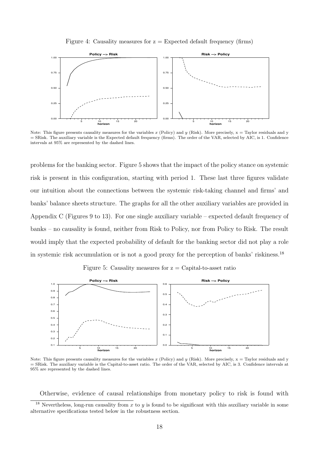Figure 4: Causality measures for  $z =$  Expected default frequency (firms)

<span id="page-19-0"></span>

Note: This figure presents causality measures for the variables x (Policy) and y (Risk). More precisely,  $x = Taylor$  residuals and y = SRisk. The auxiliary variable is the Expected default frequency (firms). The order of the VAR, selected by AIC, is 1. Confidence intervals at 95% are represented by the dashed lines.

problems for the banking sector. Figure [5](#page-19-1) shows that the impact of the policy stance on systemic risk is present in this configuration, starting with period 1. These last three figures validate our intuition about the connections between the systemic risk-taking channel and firms' and banks' balance sheets structure. The graphs for all the other auxiliary variables are provided in Appendix C (Figures [9](#page-39-0) to [13\)](#page-40-0). For one single auxiliary variable – expected default frequency of banks – no causality is found, neither from Risk to Policy, nor from Policy to Risk. The result would imply that the expected probability of default for the banking sector did not play a role in systemic risk accumulation or is not a good proxy for the perception of banks' riskiness.[18](#page-19-2)

Figure 5: Causality measures for  $z =$  Capital-to-asset ratio

<span id="page-19-1"></span>

Note: This figure presents causality measures for the variables x (Policy) and y (Risk). More precisely,  $x = Taylor$  residuals and y = SRisk. The auxiliary variable is the Capital-to-asset ratio. The order of the VAR, selected by AIC, is 3. Confidence intervals at 95% are represented by the dashed lines.

<span id="page-19-2"></span>Otherwise, evidence of causal relationships from monetary policy to risk is found with

<sup>&</sup>lt;sup>18</sup> Nevertheless, long-run causality from  $x$  to  $y$  is found to be significant with this auxiliary variable in some alternative specifications tested below in the robustness section.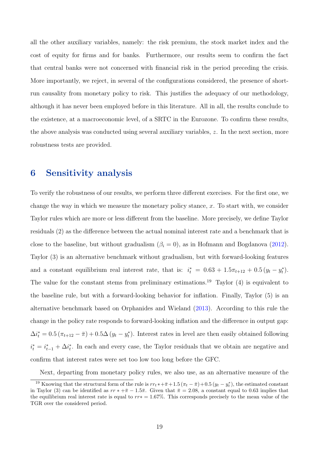all the other auxiliary variables, namely: the risk premium, the stock market index and the cost of equity for firms and for banks. Furthermore, our results seem to confirm the fact that central banks were not concerned with financial risk in the period preceding the crisis. More importantly, we reject, in several of the configurations considered, the presence of shortrun causality from monetary policy to risk. This justifies the adequacy of our methodology, although it has never been employed before in this literature. All in all, the results conclude to the existence, at a macroeconomic level, of a SRTC in the Eurozone. To confirm these results, the above analysis was conducted using several auxiliary variables, z. In the next section, more robustness tests are provided.

### 6 Sensitivity analysis

To verify the robustness of our results, we perform three different exercises. For the first one, we change the way in which we measure the monetary policy stance,  $x$ . To start with, we consider Taylor rules which are more or less different from the baseline. More precisely, we define Taylor residuals (2) as the difference between the actual nominal interest rate and a benchmark that is close to the baseline, but without gradualism  $(\beta_i = 0)$ , as in Hofmann and Bogdanova [\(2012\)](#page-30-11). Taylor (3) is an alternative benchmark without gradualism, but with forward-looking features and a constant equilibrium real interest rate, that is:  $i_t^* = 0.63 + 1.5\pi_{t+12} + 0.5(y_t - y_t^*)$ . The value for the constant stems from preliminary estimations.<sup>[19](#page-20-0)</sup> Taylor  $(4)$  is equivalent to the baseline rule, but with a forward-looking behavior for inflation. Finally, Taylor (5) is an alternative benchmark based on Orphanides and Wieland [\(2013\)](#page-31-6). According to this rule the change in the policy rate responds to forward-looking inflation and the difference in output gap:  $\Delta i_t^* = 0.5 (\pi_{t+12} - \bar{\pi}) + 0.5\Delta (y_t - y_t^*)$ . Interest rates in level are then easily obtained following  $i_t^* = i_{t-1}^* + \Delta i_t^*$ . In each and every case, the Taylor residuals that we obtain are negative and confirm that interest rates were set too low too long before the GFC.

<span id="page-20-0"></span>Next, departing from monetary policy rules, we also use, as an alternative measure of the

<sup>&</sup>lt;sup>19</sup> Knowing that the structural form of the rule is  $rr_t * + \bar{\pi} + 1.5 (\pi_t - \bar{\pi}) + 0.5 (y_t - y_t^*)$ , the estimated constant in Taylor (3) can be identified as  $rr * +\overline{\pi} - 1.5\overline{\pi}$ . Given that  $\overline{\pi} = 2.08$ , a constant equal to 0.63 implies that the equilibrium real interest rate is equal to rr∗ = 1.67%. This corresponds precisely to the mean value of the TGR over the considered period.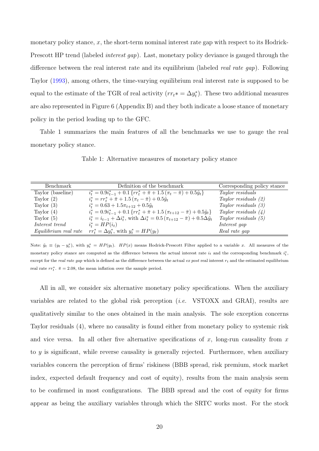monetary policy stance,  $x$ , the short-term nominal interest rate gap with respect to its Hodrick-Prescott HP trend (labeled *interest gap*). Last, monetary policy deviance is gauged through the difference between the real interest rate and its equilibrium (labeled real rate gap). Following Taylor [\(1993\)](#page-32-4), among others, the time-varying equilibrium real interest rate is supposed to be equal to the estimate of the TGR of real activity  $(r r_t^* = \Delta y_t^*)$ . These two additional measures are also represented in Figure [6](#page-36-0) (Appendix B) and they both indicate a loose stance of monetary policy in the period leading up to the GFC.

<span id="page-21-0"></span>Table [1](#page-21-0) summarizes the main features of all the benchmarks we use to gauge the real monetary policy stance.

| Benchmark         | Definition of the benchmark                                                                                             | Corresponding policy stance |
|-------------------|-------------------------------------------------------------------------------------------------------------------------|-----------------------------|
| Taylor (baseline) | $i_t^* = 0.9i_{t-1}^* + 0.1\left\{rr_t^* + \bar{\pi} + 1.5\left(\pi_t - \bar{\pi}\right) + 0.5\tilde{y}_t\right\}$      | Taylor residuals            |
| Taylor $(2)$      | $i_t^* = rr_t^* + \bar{\pi} + 1.5(\pi_t - \bar{\pi}) + 0.5\tilde{y}_t$                                                  | Taylor residuals $(2)$      |
| Taylor $(3)$      | $i_t^* = 0.63 + 1.5\pi_{t+12} + 0.5\tilde{y}_t$                                                                         | Taylor residuals $(3)$      |
| Taylor $(4)$      | $i_t^* = 0.9i_{t-1}^* + 0.1\left\{rr_t^* + \bar{\pi} + 1.5\left(\pi_{t+12} - \bar{\pi}\right) + 0.5\tilde{y}_t\right\}$ | Taylor residuals $(4)$      |
| Taylor $(5)$      | $i_t^* = i_{t-1} + \Delta i_t^*$ , with $\Delta i_t^* = 0.5 (\pi_{t+12} - \bar{\pi}) + 0.5 \Delta \tilde{y}_t$          | Taylor residuals $(5)$      |
| Interest trend    | $i_t^* = HP(i_t)$                                                                                                       | Interest gap                |
|                   | Equilibrium real rate $rr_t^* = \Delta y_t^*$ , with $y_t^* = HP(y_t)$                                                  | Real rate gap               |

Table 1: Alternative measures of monetary policy stance

Note:  $\tilde{y}_t \equiv (y_t - y_t^*)$ , with  $y_t^* = HP(y_t)$ .  $HP(x)$  means Hodrick-Prescott Filter applied to a variable x. All measures of the monetary policy stance are computed as the difference between the actual interest rate  $i_t$  and the corresponding benchmark  $i_t^*$ , except for the real rate gap which is defined as the difference between the actual ex post real interest  $r_t$  and the estimated equilibrium real rate  $rr_t^*$ .  $\bar{\pi} = 2.08$ , the mean inflation over the sample period.

All in all, we consider six alternative monetary policy specifications. When the auxiliary variables are related to the global risk perception (i.e. VSTOXX and GRAI), results are qualitatively similar to the ones obtained in the main analysis. The sole exception concerns Taylor residuals (4), where no causality is found either from monetary policy to systemic risk and vice versa. In all other five alternative specifications of x, long-run causality from  $x$ to y is significant, while reverse causality is generally rejected. Furthermore, when auxiliary variables concern the perception of firms' riskiness (BBB spread, risk premium, stock market index, expected default frequency and cost of equity), results from the main analysis seem to be confirmed in most configurations. The BBB spread and the cost of equity for firms appear as being the auxiliary variables through which the SRTC works most. For the stock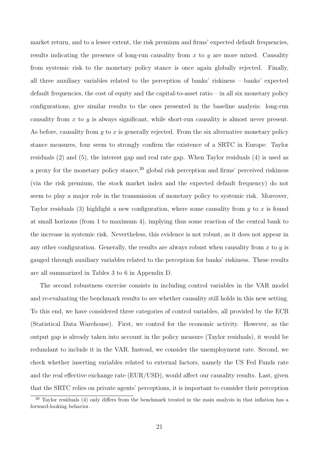market return, and to a lesser extent, the risk premium and firms' expected default frequencies, results indicating the presence of long-run causality from  $x$  to  $y$  are more mixed. Causality from systemic risk to the monetary policy stance is once again globally rejected. Finally, all three auxiliary variables related to the perception of banks' riskiness – banks' expected default frequencies, the cost of equity and the capital-to-asset ratio – in all six monetary policy configurations, give similar results to the ones presented in the baseline analysis: long-run causality from  $x$  to  $y$  is always significant, while short-run causality is almost never present. As before, causality from  $y$  to  $x$  is generally rejected. From the six alternative monetary policy stance measures, four seem to strongly confirm the existence of a SRTC in Europe: Taylor residuals (2) and (5), the interest gap and real rate gap. When Taylor residuals (4) is used as a proxy for the monetary policy stance,  $20$  global risk perception and firms' perceived riskiness (via the risk premium, the stock market index and the expected default frequency) do not seem to play a major role in the transmission of monetary policy to systemic risk. Moreover, Taylor residuals (3) highlight a new configuration, where some causality from  $y$  to  $x$  is found at small horizons (from 1 to maximum 4), implying thus some reaction of the central bank to the increase in systemic risk. Nevertheless, this evidence is not robust, as it does not appear in any other configuration. Generally, the results are always robust when causality from  $x$  to  $y$  is gauged through auxiliary variables related to the perception for banks' riskiness. These results are all summarized in Tables [3](#page-41-0) to [6](#page-42-0) in Appendix D.

The second robustness exercise consists in including control variables in the VAR model and re-evaluating the benchmark results to see whether causality still holds in this new setting. To this end, we have considered three categories of control variables, all provided by the ECB (Statistical Data Warehouse). First, we control for the economic activity. However, as the output gap is already taken into account in the policy measure (Taylor residuals), it would be redundant to include it in the VAR. Instead, we consider the unemployment rate. Second, we check whether inserting variables related to external factors, namely the US Fed Funds rate and the real effective exchange rate (EUR/USD), would affect our causality results. Last, given that the SRTC relies on private agents' perceptions, it is important to consider their perception

<span id="page-22-0"></span><sup>&</sup>lt;sup>20</sup> Taylor residuals (4) only differs from the benchmark treated in the main analysis in that inflation has a forward-looking behavior.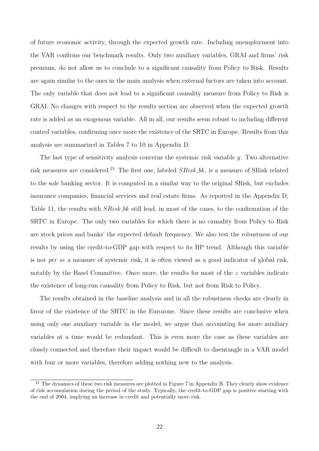of future economic activity, through the expected growth rate. Including unemployment into the VAR confirms our benchmark results. Only two auxiliary variables, GRAI and firms' risk premium, do not allow us to conclude to a significant causality from Policy to Risk. Results are again similar to the ones in the main analysis when external factors are taken into account. The only variable that does not lead to a significant causality measure from Policy to Risk is GRAI. No changes with respect to the results section are observed when the expected growth rate is added as an exogenous variable. All in all, our results seem robust to including different control variables, confirming once more the existence of the SRTC in Europe. Results from this analysis are summarized in Tables [7](#page-42-1) to [10](#page-43-0) in Appendix D.

The last type of sensitivity analysis concerns the systemic risk variable  $\gamma$ . Two alternative risk measures are considered.<sup>[21](#page-23-0)</sup> The first one, labeled  $SRisk\_bk$ , is a measure of SRisk related to the sole banking sector. It is computed in a similar way to the original SRisk, but excludes insurance companies, financial services and real estate firms. As reported in the Appendix D, Table [11,](#page-44-0) the results with  $SRisk\_bk$  still lead, in most of the cases, to the confirmation of the SRTC in Europe. The only two variables for which there is no causality from Policy to Risk are stock prices and banks' the expected default frequency. We also test the robustness of our results by using the credit-to-GDP gap with respect to its HP trend. Although this variable is not per se a measure of systemic risk, it is often viewed as a good indicator of global risk, notably by the Basel Committee. Once more, the results for most of the z variables indicate the existence of long-run causality from Policy to Risk, but not from Risk to Policy.

The results obtained in the baseline analysis and in all the robustness checks are clearly in favor of the existence of the SRTC in the Eurozone. Since these results are conclusive when using only one auxiliary variable in the model, we argue that accounting for more auxiliary variables at a time would be redundant. This is even more the case as these variables are closely connected and therefore their impact would be difficult to disentangle in a VAR model with four or more variables, therefore adding nothing new to the analysis.

<span id="page-23-0"></span><sup>&</sup>lt;sup>21</sup> The dynamics of these two risk measures are plotted in Figure [7](#page-36-1) in Appendix B. They clearly show evidence of risk accumulation during the period of the study. Typically, the credit-to-GDP gap is positive starting with the end of 2004, implying an increase in credit and potentially more risk.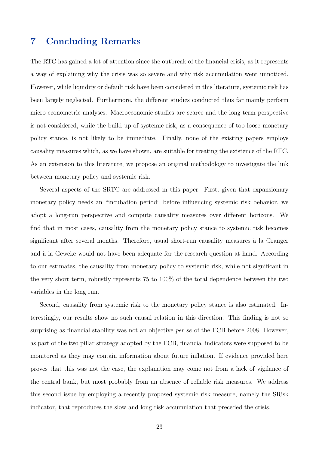### 7 Concluding Remarks

The RTC has gained a lot of attention since the outbreak of the financial crisis, as it represents a way of explaining why the crisis was so severe and why risk accumulation went unnoticed. However, while liquidity or default risk have been considered in this literature, systemic risk has been largely neglected. Furthermore, the different studies conducted thus far mainly perform micro-econometric analyses. Macroeconomic studies are scarce and the long-term perspective is not considered, while the build up of systemic risk, as a consequence of too loose monetary policy stance, is not likely to be immediate. Finally, none of the existing papers employs causality measures which, as we have shown, are suitable for treating the existence of the RTC. As an extension to this literature, we propose an original methodology to investigate the link between monetary policy and systemic risk.

Several aspects of the SRTC are addressed in this paper. First, given that expansionary monetary policy needs an "incubation period" before influencing systemic risk behavior, we adopt a long-run perspective and compute causality measures over different horizons. We find that in most cases, causality from the monetary policy stance to systemic risk becomes significant after several months. Therefore, usual short-run causality measures à la Granger and à la Geweke would not have been adequate for the research question at hand. According to our estimates, the causality from monetary policy to systemic risk, while not significant in the very short term, robustly represents 75 to 100% of the total dependence between the two variables in the long run.

Second, causality from systemic risk to the monetary policy stance is also estimated. Interestingly, our results show no such causal relation in this direction. This finding is not so surprising as financial stability was not an objective *per se* of the ECB before 2008. However, as part of the two pillar strategy adopted by the ECB, financial indicators were supposed to be monitored as they may contain information about future inflation. If evidence provided here proves that this was not the case, the explanation may come not from a lack of vigilance of the central bank, but most probably from an absence of reliable risk measures. We address this second issue by employing a recently proposed systemic risk measure, namely the SRisk indicator, that reproduces the slow and long risk accumulation that preceded the crisis.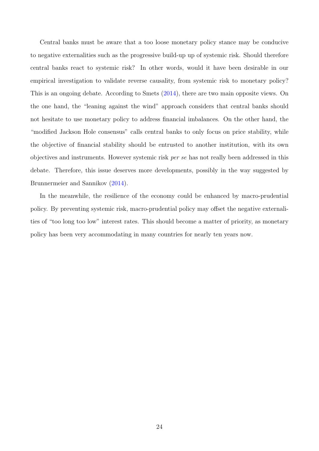Central banks must be aware that a too loose monetary policy stance may be conducive to negative externalities such as the progressive build-up up of systemic risk. Should therefore central banks react to systemic risk? In other words, would it have been desirable in our empirical investigation to validate reverse causality, from systemic risk to monetary policy? This is an ongoing debate. According to Smets [\(2014\)](#page-32-5), there are two main opposite views. On the one hand, the "leaning against the wind" approach considers that central banks should not hesitate to use monetary policy to address financial imbalances. On the other hand, the "modified Jackson Hole consensus" calls central banks to only focus on price stability, while the objective of financial stability should be entrusted to another institution, with its own objectives and instruments. However systemic risk per se has not really been addressed in this debate. Therefore, this issue deserves more developments, possibly in the way suggested by Brunnermeier and Sannikov [\(2014\)](#page-27-1).

In the meanwhile, the resilience of the economy could be enhanced by macro-prudential policy. By preventing systemic risk, macro-prudential policy may offset the negative externalities of "too long too low" interest rates. This should become a matter of priority, as monetary policy has been very accommodating in many countries for nearly ten years now.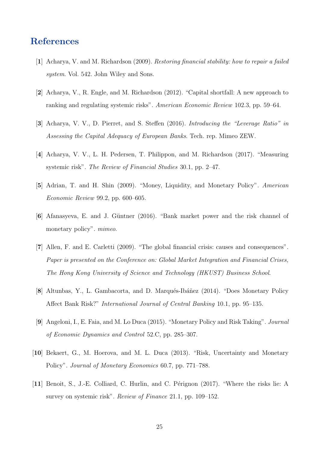### <span id="page-26-0"></span>References

- [1] Acharya, V. and M. Richardson (2009). Restoring financial stability: how to repair a failed system. Vol. 542. John Wiley and Sons.
- <span id="page-26-3"></span>[2] Acharya, V., R. Engle, and M. Richardson (2012). "Capital shortfall: A new approach to ranking and regulating systemic risks". American Economic Review 102.3, pp. 59–64.
- <span id="page-26-10"></span>[3] Acharya, V. V., D. Pierret, and S. Steffen (2016). Introducing the "Leverage Ratio" in Assessing the Capital Adequacy of European Banks. Tech. rep. Mimeo ZEW.
- <span id="page-26-9"></span>[4] Acharya, V. V., L. H. Pedersen, T. Philippon, and M. Richardson (2017). "Measuring systemic risk". The Review of Financial Studies 30.1, pp. 2–47.
- <span id="page-26-5"></span>[5] Adrian, T. and H. Shin (2009). "Money, Liquidity, and Monetary Policy". American Economic Review 99.2, pp. 600–605.
- <span id="page-26-4"></span>[6] Afanasyeva, E. and J. G¨untner (2016). "Bank market power and the risk channel of monetary policy". mimeo.
- <span id="page-26-1"></span>[7] Allen, F. and E. Carletti (2009). "The global financial crisis: causes and consequences". Paper is presented on the Conference on: Global Market Integration and Financial Crises, The Hong Kong University of Science and Technology (HKUST) Business School.
- <span id="page-26-7"></span>[8] Altunbas, Y., L. Gambacorta, and D. Marqués-Ibáñez (2014). "Does Monetary Policy Affect Bank Risk?" International Journal of Central Banking 10.1, pp. 95–135.
- <span id="page-26-6"></span>[9] Angeloni, I., E. Faia, and M. Lo Duca (2015). "Monetary Policy and Risk Taking". Journal of Economic Dynamics and Control 52.C, pp. 285–307.
- <span id="page-26-8"></span>[10] Bekaert, G., M. Hoerova, and M. L. Duca (2013). "Risk, Uncertainty and Monetary Policy". Journal of Monetary Economics 60.7, pp. 771–788.
- <span id="page-26-2"></span>[11] Benoit, S., J.-E. Colliard, C. Hurlin, and C. Pérignon (2017). "Where the risks lie: A survey on systemic risk". Review of Finance 21.1, pp. 109–152.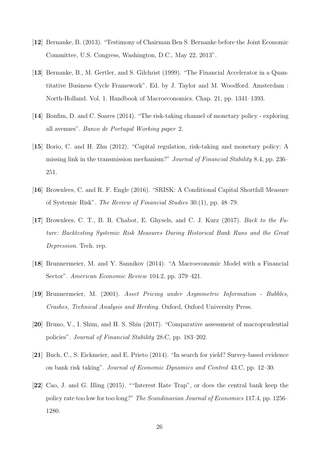- <span id="page-27-2"></span>[12] Bernanke, B. (2013). "Testimony of Chairman Ben S. Bernanke before the Joint Economic Committee, U.S. Congress, Washington, D.C., May 22, 2013".
- <span id="page-27-7"></span>[13] Bernanke, B., M. Gertler, and S. Gilchrist (1999). "The Financial Accelerator in a Quantitative Business Cycle Framework". Ed. by J. Taylor and M. Woodford. Amsterdam : North-Holland. Vol. 1. Handbook of Macroeconomics. Chap. 21, pp. 1341–1393.
- <span id="page-27-4"></span>[14] Bonfim, D. and C. Soares (2014). "The risk-taking channel of monetary policy - exploring all avenues". Banco de Portugal Working paper 2.
- <span id="page-27-0"></span>[15] Borio, C. and H. Zhu (2012). "Capital regulation, risk-taking and monetary policy: A missing link in the transmission mechanism?" Journal of Financial Stability 8.4, pp. 236– 251.
- <span id="page-27-3"></span>[16] Brownlees, C. and R. F. Engle (2016). "SRISK: A Conditional Capital Shortfall Measure of Systemic Risk". The Review of Financial Studies 30.(1), pp. 48–79.
- <span id="page-27-10"></span>[17] Brownlees, C. T., B. R. Chabot, E. Ghysels, and C. J. Kurz (2017). Back to the Future: Backtesting Systemic Risk Measures During Historical Bank Runs and the Great Depression. Tech. rep.
- <span id="page-27-1"></span>[18] Brunnermeier, M. and Y. Sannikov (2014). "A Macroeconomic Model with a Financial Sector". American Economic Review 104.2, pp. 379–421.
- <span id="page-27-5"></span>[19] Brunnermeier, M. (2001). Asset Pricing under Asymmetric Information - Bubbles, Crashes, Technical Analysis and Herding. Oxford, Oxford University Press.
- <span id="page-27-9"></span>[20] Bruno, V., I. Shim, and H. S. Shin (2017). "Comparative assessment of macroprudential policies". Journal of Financial Stability 28.C, pp. 183–202.
- <span id="page-27-8"></span>[21] Buch, C., S. Eickmeier, and E. Prieto (2014). "In search for yield? Survey-based evidence on bank risk taking". Journal of Economic Dynamics and Control 43.C, pp. 12–30.
- <span id="page-27-6"></span>[22] Cao, J. and G. Illing (2015). ""Interest Rate Trap", or does the central bank keep the policy rate too low for too long?" The Scandinavian Journal of Economics 117.4, pp. 1256– 1280.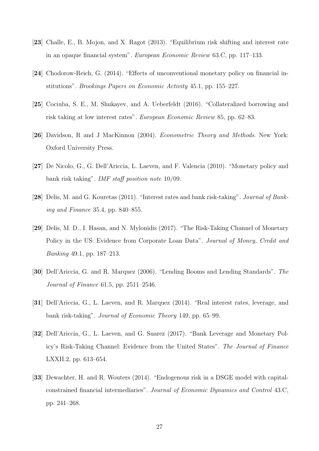- <span id="page-28-5"></span>[23] Challe, E., B. Mojon, and X. Ragot (2013). "Equilibrium risk shifting and interest rate in an opaque financial system". European Economic Review 63.C, pp. 117–133.
- <span id="page-28-2"></span>[24] Chodorow-Reich, G. (2014). "Effects of unconventional monetary policy on financial institutions". Brookings Papers on Economic Activity 45.1, pp. 155–227.
- <span id="page-28-6"></span>[25] Cociuba, S. E., M. Shukayev, and A. Ueberfeldt (2016). "Collateralized borrowing and risk taking at low interest rates". European Economic Review 85, pp. 62–83.
- <span id="page-28-10"></span>[26] Davidson, R and J MacKinnon (2004). Econometric Theory and Methods. New York: Oxford University Press.
- <span id="page-28-9"></span>[27] De Nicolo, G., G. Dell'Ariccia, L. Laeven, and F. Valencia (2010). "Monetary policy and bank risk taking". IMF staff position note 10/09.
- <span id="page-28-7"></span>[28] Delis, M. and G. Kouretas (2011). "Interest rates and bank risk-taking". Journal of Banking and Finance 35.4, pp. 840–855.
- <span id="page-28-8"></span>[29] Delis, M. D., I. Hasan, and N. Mylonidis (2017). "The Risk-Taking Channel of Monetary Policy in the US: Evidence from Corporate Loan Data". Journal of Money, Credit and Banking 49.1, pp. 187–213.
- <span id="page-28-3"></span>[30] Dell'Ariccia, G. and R. Marquez (2006). "Lending Booms and Lending Standards". The Journal of Finance 61.5, pp. 2511–2546.
- <span id="page-28-4"></span>[31] Dell'Ariccia, G., L. Laeven, and R. Marquez (2014). "Real interest rates, leverage, and bank risk-taking". Journal of Economic Theory 149, pp. 65–99.
- <span id="page-28-1"></span>[32] Dell'Ariccia, G., L. Laeven, and G. Suarez (2017). "Bank Leverage and Monetary Policy's Risk-Taking Channel: Evidence from the United States". The Journal of Finance LXXII.2, pp. 613–654.
- <span id="page-28-0"></span>[33] Dewachter, H. and R. Wouters (2014). "Endogenous risk in a DSGE model with capitalconstrained financial intermediaries". Journal of Economic Dynamics and Control 43.C, pp. 241–268.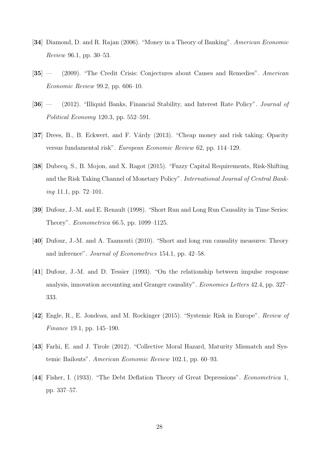- <span id="page-29-7"></span>[34] Diamond, D. and R. Rajan (2006). "Money in a Theory of Banking". American Economic Review 96.1, pp. 30–53.
- <span id="page-29-0"></span>[35] — (2009). "The Credit Crisis: Conjectures about Causes and Remedies". American Economic Review 99.2, pp. 606–10.
- <span id="page-29-4"></span>[36] — (2012). "Illiquid Banks, Financial Stability, and Interest Rate Policy". Journal of Political Economy 120.3, pp. 552–591.
- <span id="page-29-8"></span>[37] Drees, B., B. Eckwert, and F. Várdy (2013). "Cheap money and risk taking: Opacity versus fundamental risk". European Economic Review 62, pp. 114–129.
- <span id="page-29-6"></span>[38] Dubecq, S., B. Mojon, and X. Ragot (2015). "Fuzzy Capital Requirements, Risk-Shifting and the Risk Taking Channel of Monetary Policy". International Journal of Central Banking 11.1, pp. 72–101.
- <span id="page-29-3"></span>[39] Dufour, J.-M. and E. Renault (1998). "Short Run and Long Run Causality in Time Series: Theory". Econometrica 66.5, pp. 1099–1125.
- <span id="page-29-9"></span>[40] Dufour, J.-M. and A. Taamouti (2010). "Short and long run causality measures: Theory and inference". Journal of Econometrics 154.1, pp. 42–58.
- <span id="page-29-2"></span>[41] Dufour, J.-M. and D. Tessier (1993). "On the relationship between impulse response analysis, innovation accounting and Granger causality". Economics Letters 42.4, pp. 327– 333.
- <span id="page-29-10"></span>[42] Engle, R., E. Jondeau, and M. Rockinger (2015). "Systemic Risk in Europe". Review of Finance 19.1, pp. 145–190.
- <span id="page-29-5"></span>[43] Farhi, E. and J. Tirole (2012). "Collective Moral Hazard, Maturity Mismatch and Systemic Bailouts". American Economic Review 102.1, pp. 60–93.
- <span id="page-29-1"></span>[44] Fisher, I. (1933). "The Debt Deflation Theory of Great Depressions". Econometrica 1, pp. 337–57.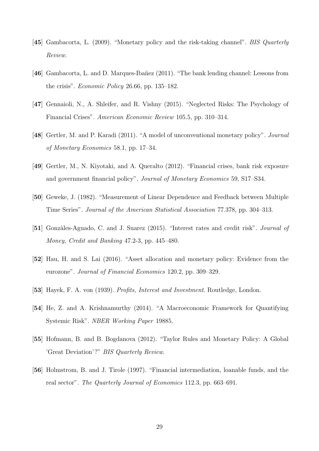- <span id="page-30-8"></span>[45] Gambacorta, L. (2009). "Monetary policy and the risk-taking channel". BIS Quarterly Review.
- <span id="page-30-9"></span>[46] Gambacorta, L. and D. Marques-Ibañez (2011). "The bank lending channel: Lessons from the crisis". Economic Policy 26.66, pp. 135–182.
- <span id="page-30-2"></span>[47] Gennaioli, N., A. Shleifer, and R. Vishny (2015). "Neglected Risks: The Psychology of Financial Crises". American Economic Review 105.5, pp. 310–314.
- <span id="page-30-3"></span>[48] Gertler, M. and P. Karadi (2011). "A model of unconventional monetary policy". Journal of Monetary Economics 58.1, pp. 17–34.
- <span id="page-30-6"></span>[49] Gertler, M., N. Kiyotaki, and A. Queralto (2012). "Financial crises, bank risk exposure and government financial policy". Journal of Monetary Economics 59, S17–S34.
- <span id="page-30-10"></span>[50] Geweke, J. (1982). "Measurement of Linear Dependence and Feedback between Multiple Time Series". Journal of the American Statistical Association 77.378, pp. 304–313.
- <span id="page-30-5"></span>[51] Gonzàles-Aguado, C. and J. Suarez (2015). "Interest rates and credit risk". Journal of Money, Credit and Banking 47.2-3, pp. 445–480.
- <span id="page-30-7"></span>[52] Hau, H. and S. Lai (2016). "Asset allocation and monetary policy: Evidence from the eurozone". Journal of Financial Economics 120.2, pp. 309–329.
- <span id="page-30-1"></span><span id="page-30-0"></span>[53] Hayek, F. A. von (1939). Profits, Interest and Investment. Routledge, London.
- [54] He, Z. and A. Krishnamurthy (2014). "A Macroeconomic Framework for Quantifying Systemic Risk". NBER Working Paper 19885.
- <span id="page-30-11"></span>[55] Hofmann, B. and B. Bogdanova (2012). "Taylor Rules and Monetary Policy: A Global 'Great Deviation'?" BIS Quarterly Review.
- <span id="page-30-4"></span>[56] Holmstrom, B. and J. Tirole (1997). "Financial intermediation, loanable funds, and the real sector". The Quarterly Journal of Economics 112.3, pp. 663–691.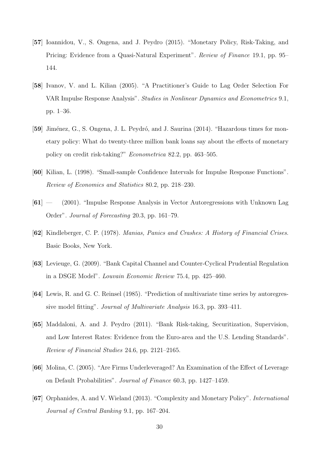- <span id="page-31-4"></span>[57] Ioannidou, V., S. Ongena, and J. Peydro (2015). "Monetary Policy, Risk-Taking, and Pricing: Evidence from a Quasi-Natural Experiment". Review of Finance 19.1, pp. 95– 144.
- <span id="page-31-7"></span>[58] Ivanov, V. and L. Kilian (2005). "A Practitioner's Guide to Lag Order Selection For VAR Impulse Response Analysis". Studies in Nonlinear Dynamics and Econometrics 9.1, pp. 1–36.
- <span id="page-31-3"></span>[59] Jiménez, G., S. Ongena, J. L. Peydró, and J. Saurina (2014). "Hazardous times for monetary policy: What do twenty-three million bank loans say about the effects of monetary policy on credit risk-taking?" Econometrica 82.2, pp. 463–505.
- <span id="page-31-10"></span>[60] Kilian, L. (1998). "Small-sample Confidence Intervals for Impulse Response Functions". Review of Economics and Statistics 80.2, pp. 218–230.
- <span id="page-31-8"></span>[61] — (2001). "Impulse Response Analysis in Vector Autoregressions with Unknown Lag Order". Journal of Forecasting 20.3, pp. 161–79.
- <span id="page-31-0"></span>[62] Kindleberger, C. P. (1978). Manias, Panics and Crashes: A History of Financial Crises. Basic Books, New York.
- <span id="page-31-1"></span>[63] Levieuge, G. (2009). "Bank Capital Channel and Counter-Cyclical Prudential Regulation in a DSGE Model". Louvain Economic Review 75.4, pp. 425–460.
- <span id="page-31-9"></span>[64] Lewis, R. and G. C. Reinsel (1985). "Prediction of multivariate time series by autoregressive model fitting". Journal of Multivariate Analysis 16.3, pp. 393–411.
- <span id="page-31-5"></span>[65] Maddaloni, A. and J. Peydro (2011). "Bank Risk-taking, Securitization, Supervision, and Low Interest Rates: Evidence from the Euro-area and the U.S. Lending Standards". Review of Financial Studies 24.6, pp. 2121–2165.
- <span id="page-31-2"></span>[66] Molina, C. (2005). "Are Firms Underleveraged? An Examination of the Effect of Leverage on Default Probabilities". Journal of Finance 60.3, pp. 1427–1459.
- <span id="page-31-6"></span>[67] Orphanides, A. and V. Wieland (2013). "Complexity and Monetary Policy". International Journal of Central Banking 9.1, pp. 167–204.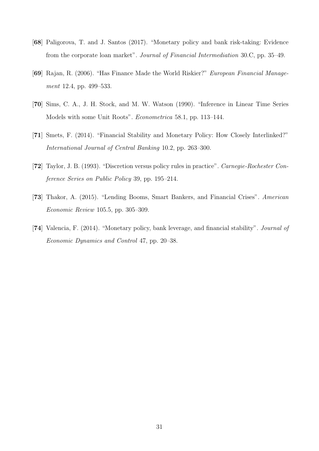- <span id="page-32-3"></span>[68] Paligorova, T. and J. Santos (2017). "Monetary policy and bank risk-taking: Evidence from the corporate loan market". Journal of Financial Intermediation 30.C, pp. 35–49.
- <span id="page-32-0"></span>[69] Rajan, R. (2006). "Has Finance Made the World Riskier?" European Financial Management 12.4, pp. 499–533.
- <span id="page-32-6"></span>[70] Sims, C. A., J. H. Stock, and M. W. Watson (1990). "Inference in Linear Time Series Models with some Unit Roots". Econometrica 58.1, pp. 113–144.
- <span id="page-32-5"></span>[71] Smets, F. (2014). "Financial Stability and Monetary Policy: How Closely Interlinked?" International Journal of Central Banking 10.2, pp. 263–300.
- <span id="page-32-4"></span>[72] Taylor, J. B. (1993). "Discretion versus policy rules in practice". Carnegie-Rochester Conference Series on Public Policy 39, pp. 195–214.
- <span id="page-32-1"></span>[73] Thakor, A. (2015). "Lending Booms, Smart Bankers, and Financial Crises". American Economic Review 105.5, pp. 305–309.
- <span id="page-32-2"></span>[74] Valencia, F. (2014). "Monetary policy, bank leverage, and financial stability". Journal of Economic Dynamics and Control 47, pp. 20–38.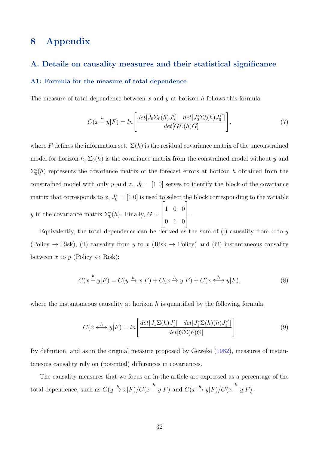### 8 Appendix

#### A. Details on causality measures and their statistical significance

#### A1: Formula for the measure of total dependence

The measure of total dependence between x and y at horizon h follows this formula:

$$
C(x - y|F) = \ln\left[\frac{\det[J_0\Sigma_0(h)J_0']}{\det[G\Sigma(h)G]}\frac{\det[J_0^*\Sigma_0^*(h)J_0^{*'}]}{\det[G\Sigma(h)G]}\right],\tag{7}
$$

where F defines the information set.  $\Sigma(h)$  is the residual covariance matrix of the unconstrained model for horizon h,  $\Sigma_0(h)$  is the covariance matrix from the constrained model without y and  $\Sigma_0^*(h)$  represents the covariance matrix of the forecast errors at horizon h obtained from the constrained model with only y and z.  $J_0 = [1\ 0]$  serves to identify the block of the covariance matrix that corresponds to x,  $J_0^* = [1 \ 0]$  is used to select the block corresponding to the variable y in the covariance matrix  $\Sigma_0^*(h)$ . Finally,  $G =$  $\sqrt{ }$  $\left| \right|$ 1 0 0 0 1 0 1  $\vert \cdot$ 

Equivalently, the total dependence can be derived as the sum of (i) causality from x to  $\eta$ (Policy  $\rightarrow$  Risk), (ii) causality from y to x (Risk  $\rightarrow$  Policy) and (iii) instantaneous causality between x to y (Policy  $\leftrightarrow$  Risk):

<span id="page-33-1"></span>
$$
C(x - y|F) = C(y \xrightarrow{h} x|F) + C(x \xrightarrow{h} y|F) + C(x \xleftarrow{h} y|F),
$$
\n(8)

where the instantaneous causality at horizon  $h$  is quantified by the following formula:

<span id="page-33-0"></span>
$$
C(x \leftrightarrow^h y | F) = \ln \left[ \frac{\det[J_1 \Sigma(h) J_1'] \det[J_1^* \Sigma(h)(h) J_1^{*'}]}{\det[G\hat{\Sigma}(h) G]} \right]
$$
(9)

By definition, and as in the original measure proposed by Geweke [\(1982\)](#page-30-10), measures of instantaneous causality rely on (potential) differences in covariances.

The causality measures that we focus on in the article are expressed as a percentage of the total dependence, such as  $C(y \xrightarrow{h} x|F)/C(x \xrightarrow{h} y|F)$  and  $C(x \xrightarrow{h} y|F)/C(x \xrightarrow{h} y|F)$ .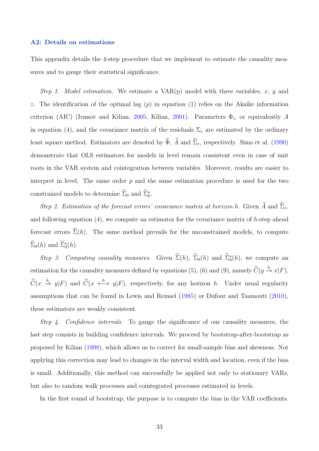#### A2: Details on estimations

This appendix details the 4-step procedure that we implement to estimate the causality measures and to gauge their statistical significance.

Step 1. Model estimation. We estimate a  $VAR(p)$  model with three variables, x, y and z. The identification of the optimal lag  $(p)$  in equation [\(1\)](#page-10-0) relies on the Akaike information criterion (AIC) (Ivanov and Kilian, [2005;](#page-31-7) Kilian, [2001\)](#page-31-8). Parameters  $\Phi_i$ , or equivalently A in equation [\(4\)](#page-11-0), and the covariance matrix of the residuals  $\Sigma_{\varepsilon}$  are estimated by the ordinary least square method. Estimators are denoted by  $\widehat{\Phi}$ ,  $\widehat{A}$  and  $\widehat{\Sigma}_{\varepsilon}$ , respectively. Sims et al. [\(1990\)](#page-32-6) demonstrate that OLS estimators for models in level remain consistent even in case of unit roots in the VAR system and cointegration between variables. Moreover, results are easier to interpret in level. The same order  $p$  and the same estimation procedure is used for the two constrained models to determine  $\hat{\Sigma}_0$  and  $\hat{\Sigma}_0^*$ .

Step 2. Estimation of the forecast errors' covariance matrix at horizon h. Given  $\widehat{A}$  and  $\widehat{\Sigma}_{\varepsilon}$ , and following equation  $(4)$ , we compute an estimator for the covariance matrix of h-step ahead forecast errors  $\hat{\Sigma}(h)$ . The same method prevails for the unconstrained models, to compute  $\hat{\Sigma}_0(h)$  and  $\hat{\Sigma}_0^{\star}(h)$ .

Step 3. Computing causality measures. Given  $\hat{\Sigma}(h)$ ,  $\hat{\Sigma}_0(h)$  and  $\hat{\Sigma}_0^*(h)$ , we compute an estimation for the causality measures defined by equations [\(5\)](#page-11-1), [\(6\)](#page-11-2) and [\(9\)](#page-33-0), namely  $\widehat{C}(y \xrightarrow{h} x|F)$ ,  $\hat{C}(x \stackrel{h}{\to} y|F)$  and  $\hat{C}(x \stackrel{h}{\longleftrightarrow} y|F)$ , respectively, for any horizon h. Under usual regularity assumptions that can be found in Lewis and Reinsel [\(1985\)](#page-31-9) or Dufour and Taamouti [\(2010\)](#page-29-9), these estimators are weakly consistent.

Step 4. Confidence intervals. To gauge the significance of our causality measures, the last step consists in building confidence intervals. We proceed by bootstrap-after-bootstrap as proposed by Kilian [\(1998\)](#page-31-10), which allows us to correct for small-sample bias and skewness. Not applying this correction may lead to changes in the interval width and location, even if the bias is small. Additionally, this method can successfully be applied not only to stationary VARs, but also to random walk processes and cointegrated processes estimated in levels.

In the first round of bootstrap, the purpose is to compute the bias in the VAR coefficients.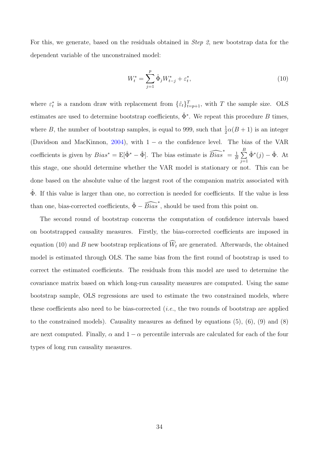For this, we generate, based on the residuals obtained in Step 2, new bootstrap data for the dependent variable of the unconstrained model:

<span id="page-35-0"></span>
$$
W_t^* = \sum_{j=1}^p \hat{\Phi}_j W_{t-j}^* + \varepsilon_t^*,\tag{10}
$$

where  $\varepsilon_t^*$  is a random draw with replacement from  $\{\hat{\varepsilon}_t\}_{t=p+1}^T$ , with T the sample size. OLS estimates are used to determine bootstrap coefficients,  $\hat{\Phi}^*$ . We repeat this procedure B times, where B, the number of bootstrap samples, is equal to 999, such that  $\frac{1}{2}\alpha(B+1)$  is an integer (Davidson and MacKinnon, [2004\)](#page-28-10), with  $1 - \alpha$  the confidence level. The bias of the VAR coefficients is given by  $Bias^* = E[\hat{\Phi}^* - \hat{\Phi}]$ . The bias estimate is  $\widehat{Bias}^* = \frac{1}{k}$  $\frac{1}{B}\sum_{i=1}^B$  $j=1$  $\hat{\Phi}^*(j) - \hat{\Phi}$ . At this stage, one should determine whether the VAR model is stationary or not. This can be done based on the absolute value of the largest root of the companion matrix associated with  $\Phi$ . If this value is larger than one, no correction is needed for coefficients. If the value is less than one, bias-corrected coefficients,  $\hat{\Phi} - \widehat{Bias}^*$ , should be used from this point on.

The second round of bootstrap concerns the computation of confidence intervals based on bootstrapped causality measures. Firstly, the bias-corrected coefficients are imposed in equation [\(10\)](#page-35-0) and B new bootstrap replications of  $\widehat{W}_t$  are generated. Afterwards, the obtained model is estimated through OLS. The same bias from the first round of bootstrap is used to correct the estimated coefficients. The residuals from this model are used to determine the covariance matrix based on which long-run causality measures are computed. Using the same bootstrap sample, OLS regressions are used to estimate the two constrained models, where these coefficients also need to be bias-corrected  $(i.e.,$  the two rounds of bootstrap are applied to the constrained models). Causality measures as defined by equations  $(5)$ ,  $(6)$ ,  $(9)$  and  $(8)$ are next computed. Finally,  $\alpha$  and  $1 - \alpha$  percentile intervals are calculated for each of the four types of long run causality measures.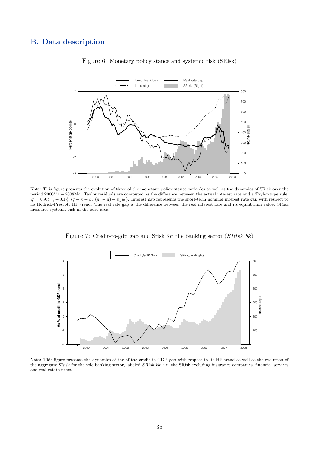#### <span id="page-36-0"></span>B. Data description



#### Figure 6: Monetary policy stance and systemic risk (SRisk)

Note: This figure presents the evolution of three of the monetary policy stance variables as well as the dynamics of SRisk over the period 2000M1 − 2008M4. Taylor residuals are computed as the difference between the actual interest rate and a Taylor-type rule,  $i_t^* = 0.9i_{t-1}^* + 0.1\{rr_t^* + \bar{\pi} + \beta_{\pi}(\pi_t - \bar{\pi}) + \beta_{y}\tilde{y}_t\}.$  Interest gap represents the short-term nominal interest rate gap with respect to this Hodrick-Prescott HP trend. The real rate gap is the difference betwe measures systemic risk in the euro area.

Figure 7: Credit-to-gdp gap and Srisk for the banking sector (SRisk\_bk)

<span id="page-36-1"></span>

Note: This figure presents the dynamics of the of the credit-to-GDP gap with respect to its HP trend as well as the evolution of the aggregate SRisk for the sole banking sector, labeled SRisk bk, i.e. the SRisk excluding insurance companies, financial services and real estate firms.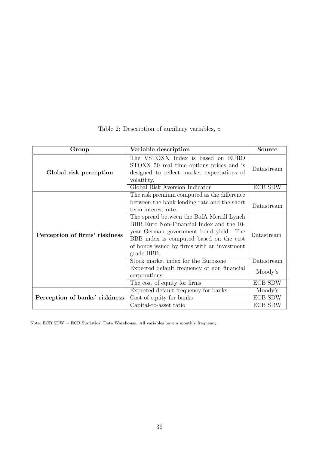<span id="page-37-0"></span>

| Group                          | Variable description                                                                                                                                                                                                                                                                                                                                         | <b>Source</b>            |
|--------------------------------|--------------------------------------------------------------------------------------------------------------------------------------------------------------------------------------------------------------------------------------------------------------------------------------------------------------------------------------------------------------|--------------------------|
| Global risk perception         | The VSTOXX Index is based on EURO<br>STOXX 50 real time options prices and is<br>designed to reflect market expectations of<br>volatility.                                                                                                                                                                                                                   | Datastream               |
|                                | Global Risk Aversion Indicator                                                                                                                                                                                                                                                                                                                               | <b>ECB SDW</b>           |
| Perception of firms' riskiness | The risk premium computed as the difference<br>between the bank lending rate and the short<br>term interest rate.<br>The spread between the BofA Merrill Lynch<br>BBB Euro Non-Financial Index and the 10-<br>year German government bond yield. The<br>BBB index is computed based on the cost<br>of bonds issued by firms with an investment<br>grade BBB. | Datastream<br>Datastream |
|                                | Stock market index for the Eurozone                                                                                                                                                                                                                                                                                                                          | Datastream               |
|                                | Expected default frequency of non financial<br>corporations                                                                                                                                                                                                                                                                                                  | Moody's                  |
|                                | The cost of equity for firms                                                                                                                                                                                                                                                                                                                                 | <b>ECB SDW</b>           |
|                                | Expected default frequency for banks                                                                                                                                                                                                                                                                                                                         | Moody's                  |
| Perception of banks' riskiness | Cost of equity for banks                                                                                                                                                                                                                                                                                                                                     | <b>ECB SDW</b>           |
|                                | Capital-to-asset ratio                                                                                                                                                                                                                                                                                                                                       | <b>ECB SDW</b>           |

Table 2: Description of auxiliary variables,  $\boldsymbol{z}$ 

Note: ECB SDW = ECB Statistical Data Warehouse. All variables have a monthly frequency.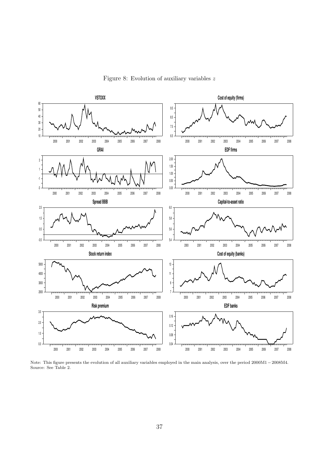<span id="page-38-0"></span>

Figure 8: Evolution of auxiliary variables z

Note: This figure presents the evolution of all auxiliary variables employed in the main analysis, over the period 2000M1 − 2008M4. Source: See Table [2.](#page-37-0)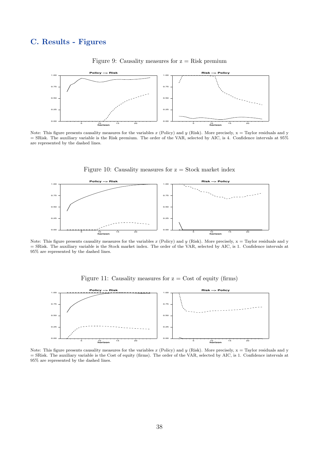### <span id="page-39-0"></span>C. Results - Figures



#### Figure 9: Causality measures for  $z = Risk$  premium

Note: This figure presents causality measures for the variables x (Policy) and y (Risk). More precisely,  $x = Taylor$  residuals and y = SRisk. The auxiliary variable is the Risk premium. The order of the VAR, selected by AIC, is 4. Confidence intervals at 95% are represented by the dashed lines.



Figure 10: Causality measures for  $z = Stock$  market index

Note: This figure presents causality measures for the variables x (Policy) and y (Risk). More precisely,  $x = Taylor$  residuals and y = SRisk. The auxiliary variable is the Stock market index. The order of the VAR, selected by AIC, is 1. Confidence intervals at 95% are represented by the dashed lines.





Note: This figure presents causality measures for the variables x (Policy) and y (Risk). More precisely,  $x = Taylor$  residuals and y = SRisk. The auxiliary variable is the Cost of equity (firms). The order of the VAR, selected by AIC, is 1. Confidence intervals at  $95\%$  are represented by the dashed lines.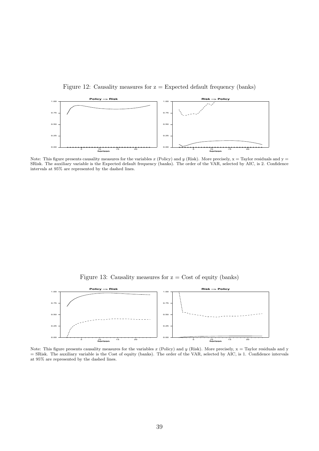Figure 12: Causality measures for  $z =$  Expected default frequency (banks)



Note: This figure presents causality measures for the variables x (Policy) and y (Risk). More precisely,  $x =$  Taylor residuals and  $y =$ SRisk. The auxiliary variable is the Expected default frequency (banks). The order of the VAR, selected by AIC, is 2. Confidence intervals at 95% are represented by the dashed lines.

Figure 13: Causality measures for  $z = \text{Cost of equity (banks)}$ 

<span id="page-40-0"></span>

Note: This figure presents causality measures for the variables x (Policy) and y (Risk). More precisely,  $x = Taylor$  residuals and y = SRisk. The auxiliary variable is the Cost of equity (banks). The order of the VAR, selected by AIC, is 1. Confidence intervals at 95% are represented by the dashed lines.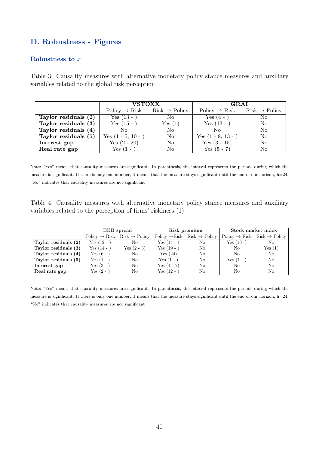### D. Robustness - Figures

#### Robustness to x

<span id="page-41-0"></span>Table 3: Causality measures with alternative monetary policy stance measures and auxiliary variables related to the global risk perception

|                      | <b>VSTOXX</b>                                       |                | <b>GRAI</b>               |                           |  |
|----------------------|-----------------------------------------------------|----------------|---------------------------|---------------------------|--|
|                      | $Policy \rightarrow Risk$ Risk $\rightarrow Policy$ |                | $Policy \rightarrow Risk$ | $Risk \rightarrow Policy$ |  |
| Taylor residuals (2) | Yes $(13 - )$                                       | No.            | Yes $(4 - )$              | No.                       |  |
| Taylor residuals (3) | Yes $(15 - )$                                       | Yes $(1)$      | Yes $(13 - )$             | No                        |  |
| Taylor residuals (4) | No.                                                 | N <sub>o</sub> | No                        | No                        |  |
| Taylor residuals (5) | Yes $(1 - 5, 10 - )$                                | N <sub>o</sub> | Yes $(1 - 8, 13 - )$      | No                        |  |
| Interest gap         | Yes $(2 - 20)$                                      | N <sub>o</sub> | Yes $(3 - 15)$            | No                        |  |
| Real rate gap        | Yes $(1 - )$                                        | No             | Yes $(5 - 7)$             | No                        |  |

Note: "Yes" means that causality measures are significant. In parenthesis, the interval represents the periods during which the measure is significant. If there is only one number, it means that the measure stays significant until the end of our horizon, h=24. "No" indicates that causality measures are not significant

Table 4: Causality measures with alternative monetary policy stance measures and auxiliary variables related to the perception of firms' riskiness (1)

|                      | <b>BBB</b> spread |                                                     |               | Risk premium                                        | Stock market index |                                                         |  |
|----------------------|-------------------|-----------------------------------------------------|---------------|-----------------------------------------------------|--------------------|---------------------------------------------------------|--|
|                      |                   | $Policy \rightarrow Risk$ Risk $\rightarrow Policy$ |               | $Policy \rightarrow Risk$ Risk $\rightarrow Policy$ |                    | $Policy \rightarrow Risk \quad Risk \rightarrow Policy$ |  |
| Taylor residuals (2) | $Yes (12 - )$     | No.                                                 | $Yes (14 - )$ | No.                                                 | $Yes (13 -)$       | No                                                      |  |
| Taylor residuals (3) | $Yes(14 - )$      | Yes $(2 - 3)$                                       | $Yes (19 - )$ | No                                                  | No                 | Yes(1)                                                  |  |
| Taylor residuals (4) | Yes $(6 - )$      | No                                                  | Yes(24)       | No                                                  | N <sub>0</sub>     | No                                                      |  |
| Taylor residuals (5) | $Yes(1 -$         | No                                                  | Yes $(1 -$    | No                                                  | Yes $(1 -$         | No                                                      |  |
| Interest gap         | Yes $(3 -$        | No                                                  | $Yes (1 - 7)$ | No                                                  | No                 | No                                                      |  |
| Real rate gap        | $Yes(2 -$         | No                                                  | $Yes (12 - )$ | No                                                  | No                 | No                                                      |  |

Note: "Yes" means that causality measures are significant. In parenthesis, the interval represents the periods during which the measure is significant. If there is only one number, it means that the measure stays significant until the end of our horizon, h=24. "No" indicates that causality measures are not significant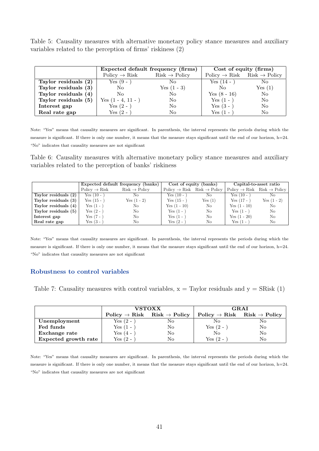Table 5: Causality measures with alternative monetary policy stance measures and auxiliary variables related to the perception of firms' riskiness (2)

|                      |                           | Expected default frequency (firms) | Cost of equity (firms) |                                                     |  |
|----------------------|---------------------------|------------------------------------|------------------------|-----------------------------------------------------|--|
|                      | $Policy \rightarrow Risk$ | $Risk \rightarrow Policy$          |                        | $Policy \rightarrow Risk$ Risk $\rightarrow Policy$ |  |
| Taylor residuals (2) | Yes $(9 - )$              | No.                                | $Yes (14 - )$          | No.                                                 |  |
| Taylor residuals (3) | No.                       | Yes $(1 - 3)$                      | $\rm No$               | Yes(1)                                              |  |
| Taylor residuals (4) | No.                       | No.                                | Yes $(8 - 16)$         | N <sub>o</sub>                                      |  |
| Taylor residuals (5) | Yes $(1 - 4, 11 - )$      | No.                                | Yes $(1 - )$           | No                                                  |  |
| Interest gap         | Yes $(2 -$                | No.                                | Yes $(3 - )$           | No.                                                 |  |
| Real rate gap        | Yes (2 -                  | No                                 | $Yes(1 -$              | No                                                  |  |

Note: "Yes" means that causality measures are significant. In parenthesis, the interval represents the periods during which the measure is significant. If there is only one number, it means that the measure stays significant until the end of our horizon, h=24. "No" indicates that causality measures are not significant

<span id="page-42-0"></span>Table 6: Causality measures with alternative monetary policy stance measures and auxiliary variables related to the perception of banks' riskiness

|                      |                           | Expected default frequency (banks) |                | Cost of equity (banks)                                   | Capital-to-asset ratio |                                                      |  |
|----------------------|---------------------------|------------------------------------|----------------|----------------------------------------------------------|------------------------|------------------------------------------------------|--|
|                      | $Policy \rightarrow Risk$ | $Risk \rightarrow Policy$          |                | $Policy \rightarrow Risk \text{Risk} \rightarrow Policy$ |                        | $Policy \rightarrow Risk \; Risk \rightarrow Policy$ |  |
| Taylor residuals (2) | $Yes (10 - )$             | No.                                | Yes $(10 - )$  | No.                                                      | Yes $(10 -$            | No.                                                  |  |
| Taylor residuals (3) | Yes $(15 - )$             | $Yes (1 - 2)$                      | $Yes (15 - )$  | Yes(1)                                                   | $Yes (17 - )$          | $Yes (1 - 2)$                                        |  |
| Taylor residuals (4) | $Yes(1 - )$               | No                                 | $Yes (1 - 10)$ | No.                                                      | $Yes (1 - 10)$         | N <sub>0</sub>                                       |  |
| Taylor residuals (5) | Yes $(2 - )$              | No                                 | $Yes (1 - )$   | No                                                       | Yes $(1 - )$           | No                                                   |  |
| Interest gap         | $Yes (7 - )$              | No                                 | $Yes(1 - )$    | No                                                       | $Yes (1 - 20)$         | No                                                   |  |
| Real rate gap        | Yes $(3 - )$              | No                                 | Yes $(2 - )$   | No                                                       | $Yes(1 - )$            | No                                                   |  |

Note: "Yes" means that causality measures are significant. In parenthesis, the interval represents the periods during which the measure is significant. If there is only one number, it means that the measure stays significant until the end of our horizon, h=24. "No" indicates that causality measures are not significant

#### Robustness to control variables

<span id="page-42-1"></span>Table 7: Causality measures with control variables,  $x = Taylor$  residuals and  $y = SRisk(1)$ 

|                      |              | <b>VSTOXX</b>                                       |            | <b>GRAI</b>                                         |
|----------------------|--------------|-----------------------------------------------------|------------|-----------------------------------------------------|
|                      |              | $Policy \rightarrow Risk$ Risk $\rightarrow Policy$ |            | $Policy \rightarrow Risk$ Risk $\rightarrow Policy$ |
| Unemployment         | Yes $(2 - )$ | No                                                  | Nο         | No                                                  |
| Fed funds            | Yes (1 -     | No                                                  | Yes $(2 -$ | No                                                  |
| Exchange rate        | $Yes(4 -$    | No                                                  | No         | No                                                  |
| Expected growth rate | Yes (2 -     | No                                                  | Yes (2 -   | No                                                  |

Note: "Yes" means that causality measures are significant. In parenthesis, the interval represents the periods during which the measure is significant. If there is only one number, it means that the measure stays significant until the end of our horizon, h=24. "No" indicates that causality measures are not significant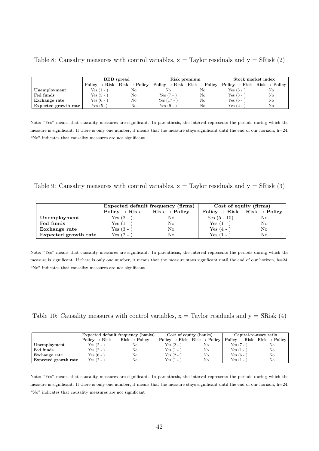|  | Table 8: Causality measures with control variables, $x =$ Taylor residuals and $y =$ SRisk (2) |  |  |  |  |  |
|--|------------------------------------------------------------------------------------------------|--|--|--|--|--|
|  |                                                                                                |  |  |  |  |  |

|                      | <b>BBB</b> spread |                                                     |              | Risk premium                                                                                                                                                           | Stock market index |    |  |
|----------------------|-------------------|-----------------------------------------------------|--------------|------------------------------------------------------------------------------------------------------------------------------------------------------------------------|--------------------|----|--|
|                      |                   | $Policy \rightarrow Risk$ Risk $\rightarrow Policy$ |              | $\text{Policy } \rightarrow \text{Risk } \text{ Risk } \rightarrow \text{Policy }   \text{ Policy } \rightarrow \text{Risk } \text{ Risk } \rightarrow \text{Policy }$ |                    |    |  |
| Unemployment         | $Yes(1 -$         | No                                                  | Nο           | No                                                                                                                                                                     | $Yes (3 -$         | No |  |
| Fed funds            | Yes $(5 -$        | No                                                  | $Yes (7 - )$ | No                                                                                                                                                                     | $Yes (3 -$         | No |  |
| Exchange rate        | Yes $(6 -$        | No                                                  | $Yes(17 -$   | No                                                                                                                                                                     | Yes $(6 -$         | No |  |
| Expected growth rate | Yes (5 -)         | No                                                  | Yes $(9 -$   | No                                                                                                                                                                     | Yes $(2 -$         | No |  |

Note: "Yes" means that causality measures are significant. In parenthesis, the interval represents the periods during which the measure is significant. If there is only one number, it means that the measure stays significant until the end of our horizon, h=24. "No" indicates that causality measures are not significant

Table 9: Causality measures with control variables,  $x =$  Taylor residuals and  $y =$  SRisk (3)

|                      |                           | Expected default frequency (firms) | Cost of equity (firms) |                                                     |  |
|----------------------|---------------------------|------------------------------------|------------------------|-----------------------------------------------------|--|
|                      | $Policy \rightarrow Risk$ | $Risk \rightarrow Policy$          |                        | $Policy \rightarrow Risk$ Risk $\rightarrow Policy$ |  |
| Unemployment         | Yes $(2 - )$              | Nο                                 | $Yes (5 - 10)$         | No                                                  |  |
| Fed funds            | Yes $(1 - )$              | No                                 | $Yes (1 - )$           | No                                                  |  |
| Exchange rate        | Yes $(3 - )$              | No                                 | Yes $(4 -$             | No                                                  |  |
| Expected growth rate | Yes $(2 - )$              | No                                 | Yes $(1 -$             | No                                                  |  |

Note: "Yes" means that causality measures are significant. In parenthesis, the interval represents the periods during which the measure is significant. If there is only one number, it means that the measure stays significant until the end of our horizon, h=24. "No" indicates that causality measures are not significant

<span id="page-43-0"></span>Table 10: Causality measures with control variables,  $x = Taylor$  residuals and  $y = SRisk(4)$ 

|                      |                           | Expected default frequency (banks) | Cost of equity (banks) |                                                     | Capital-to-asset ratio |                                                     |  |
|----------------------|---------------------------|------------------------------------|------------------------|-----------------------------------------------------|------------------------|-----------------------------------------------------|--|
|                      | $Policy \rightarrow Risk$ | $Risk \rightarrow Policy$          |                        | $Policy \rightarrow Risk$ Risk $\rightarrow$ Policy |                        | $Policy \rightarrow Risk$ Risk $\rightarrow Policy$ |  |
| Unemployment         | Yes $(2 - )$              | NΟ                                 | $Yes (2 -$             | No                                                  | Yes (7 -               | No                                                  |  |
| Fed funds            | Yes (2 - $\cdot$          | No                                 | $Yes(1 -$              | No                                                  | $Yes(1 -$              | No                                                  |  |
| Exchange rate        | Yes (6 - $\cdot$          | No                                 | $Yes (2 -$             | No                                                  | Yes $(6 -$             | No                                                  |  |
| Expected growth rate | $Yes (2 -$                | No                                 | Yes (1 -               | No                                                  | $Yes(1 -$              | No                                                  |  |

Note: "Yes" means that causality measures are significant. In parenthesis, the interval represents the periods during which the measure is significant. If there is only one number, it means that the measure stays significant until the end of our horizon, h=24. "No" indicates that causality measures are not significant